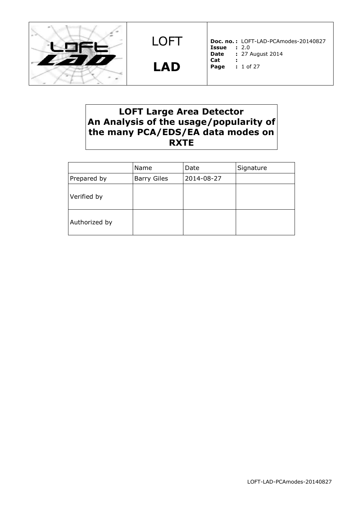

**LAD**

**Doc. no. :** LOFT-LAD-PCAmodes-20140827 **Issue :** 2.0 **Date :** 27 August 2014 **Cat : Page :** 1 of 27

# **LOFT Large Area Detector An Analysis of the usage/popularity of the many PCA/EDS/EA data modes on RXTE**

|               | Name               | Date       | Signature |
|---------------|--------------------|------------|-----------|
| Prepared by   | <b>Barry Giles</b> | 2014-08-27 |           |
| Verified by   |                    |            |           |
| Authorized by |                    |            |           |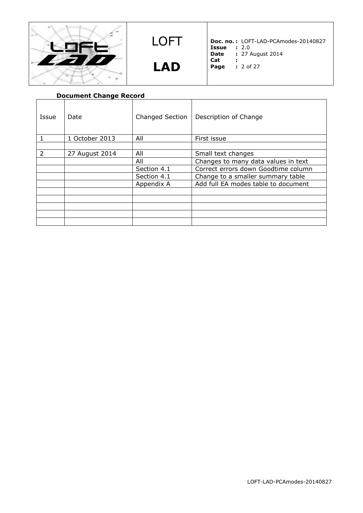

**LAD**

**Doc. no. :** LOFT-LAD-PCAmodes-20140827

- **Issue :** 2.0
- **Date :** 27 August 2014 **Cat :**
- **Pag**

| --  |             |  |
|-----|-------------|--|
| age | $: 2$ of 27 |  |

| <b>Document Change Record</b> |                |                 |                                     |  |  |
|-------------------------------|----------------|-----------------|-------------------------------------|--|--|
| Issue                         | Date           | Changed Section | Description of Change               |  |  |
|                               | 1 October 2013 | All             | First issue                         |  |  |
|                               |                |                 |                                     |  |  |
| $\mathcal{L}$                 | 27 August 2014 | All             | Small text changes                  |  |  |
|                               |                | All             | Changes to many data values in text |  |  |
|                               |                | Section 4.1     | Correct errors down Goodtime column |  |  |
|                               |                | Section 4.1     | Change to a smaller summary table   |  |  |
|                               |                | Appendix A      | Add full EA modes table to document |  |  |
|                               |                |                 |                                     |  |  |
|                               |                |                 |                                     |  |  |
|                               |                |                 |                                     |  |  |
|                               |                |                 |                                     |  |  |
|                               |                |                 |                                     |  |  |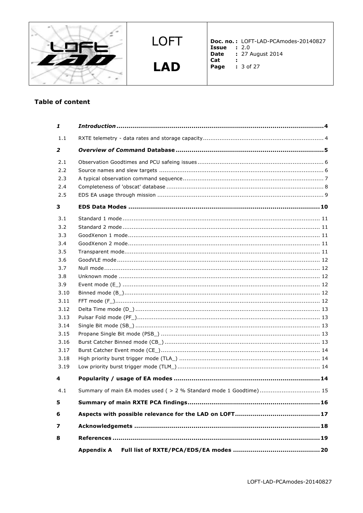

**LAD** 

**Doc. no.:** LOFT-LAD-PCAmodes-20140827<br> **Issue :** 2.0<br> **Date :** 27 August 2014<br> **Cat :** 2.0<br> **Cat :** 2.0<br> **Cat :** 

- 
- **Page : 3 of 27** 
	-

# **Table of content**

| 1                                                                                                                                           |                                                                    |
|---------------------------------------------------------------------------------------------------------------------------------------------|--------------------------------------------------------------------|
| 1.1                                                                                                                                         |                                                                    |
| 2                                                                                                                                           |                                                                    |
| 2.1<br>2.2<br>2.3<br>2.4<br>2.5                                                                                                             |                                                                    |
| з                                                                                                                                           |                                                                    |
| 3.1<br>3.2<br>3.3<br>3.4<br>3.5<br>3.6<br>3.7<br>3.8<br>3.9<br>3.10<br>3.11<br>3.12<br>3.13<br>3.14<br>3.15<br>3.16<br>3.17<br>3.18<br>3.19 |                                                                    |
| 4                                                                                                                                           |                                                                    |
| 4.1                                                                                                                                         | Summary of main EA modes used ( > 2 % Standard mode 1 Goodtime) 15 |
| 5                                                                                                                                           |                                                                    |
| 6                                                                                                                                           |                                                                    |
| 7                                                                                                                                           |                                                                    |
| 8                                                                                                                                           |                                                                    |
|                                                                                                                                             | <b>Appendix A</b>                                                  |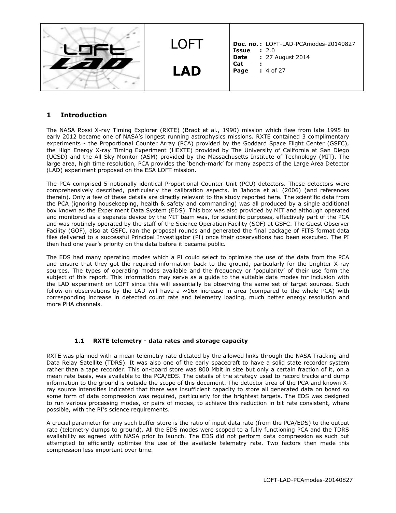

# **1 Introduction**

The NASA Rossi X-ray Timing Explorer (RXTE) (Bradt et al., 1990) mission which flew from late 1995 to early 2012 became one of NASA's longest running astrophysics missions. RXTE contained 3 complimentary experiments - the Proportional Counter Array (PCA) provided by the Goddard Space Flight Center (GSFC), the High Energy X-ray Timing Experiment (HEXTE) provided by The University of California at San Diego (UCSD) and the All Sky Monitor (ASM) provided by the Massachusetts Institute of Technology (MIT). The large area, high time resolution, PCA provides the 'bench-mark' for many aspects of the Large Area Detector (LAD) experiment proposed on the ESA LOFT mission.

The PCA comprised 5 notionally identical Proportional Counter Unit (PCU) detectors. These detectors were comprehensively described, particularly the calibration aspects, in Jahoda et al. (2006) (and references therein). Only a few of these details are directly relevant to the study reported here. The scientific data from the PCA (ignoring housekeeping, health & safety and commanding) was all produced by a single additional box known as the Experiment Data System (EDS). This box was also provided by MIT and although operated and monitored as a separate device by the MIT team was, for scientific purposes, effectively part of the PCA and was routinely operated by the staff of the Science Operation Facility (SOF) at GSFC. The Guest Observer Facility (GOF), also at GSFC, ran the proposal rounds and generated the final package of FITS format data files delivered to a successful Principal Investigator (PI) once their observations had been executed. The PI then had one year's priority on the data before it became public.

The EDS had many operating modes which a PI could select to optimise the use of the data from the PCA and ensure that they got the required information back to the ground, particularly for the brighter X-ray sources. The types of operating modes available and the frequency or 'popularity' of their use form the subject of this report. This information may serve as a guide to the suitable data modes for inclusion with the LAD experiment on LOFT since this will essentially be observing the same set of target sources. Such follow-on observations by the LAD will have a  $\sim$ 16x increase in area (compared to the whole PCA) with corresponding increase in detected count rate and telemetry loading, much better energy resolution and more PHA channels.

### **1.1 RXTE telemetry - data rates and storage capacity**

RXTE was planned with a mean telemetry rate dictated by the allowed links through the NASA Tracking and Data Relay Satellite (TDRS). It was also one of the early spacecraft to have a solid state recorder system rather than a tape recorder. This on-board store was 800 Mbit in size but only a certain fraction of it, on a mean rate basis, was available to the PCA/EDS. The details of the strategy used to record tracks and dump information to the ground is outside the scope of this document. The detector area of the PCA and known Xray source intensities indicated that there was insufficient capacity to store all generated data on board so some form of data compression was required, particularly for the brightest targets. The EDS was designed to run various processing modes, or pairs of modes, to achieve this reduction in bit rate consistent, where possible, with the PI's science requirements.

A crucial parameter for any such buffer store is the ratio of input data rate (from the PCA/EDS) to the output rate (telemetry dumps to ground). All the EDS modes were scoped to a fully functioning PCA and the TDRS availability as agreed with NASA prior to launch. The EDS did not perform data compression as such but attempted to efficiently optimise the use of the available telemetry rate. Two factors then made this compression less important over time.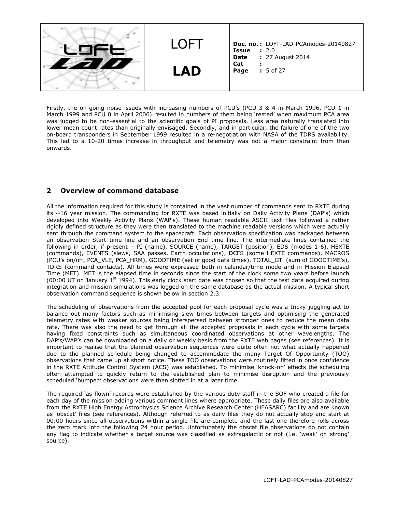LOFT **LAD Doc. no. :** LOFT-LAD-PCAmodes-20140827 **Issue :** 2.0<br>**Date :** 27 / **Date :** 27 August 2014 **Cat : Page :** 5 of 27

Firstly, the on-going noise issues with increasing numbers of PCU's (PCU 3 & 4 in March 1996, PCU 1 in March 1999 and PCU 0 in April 2006) resulted in numbers of them being 'rested' when maximum PCA area was judged to be non-essential to the scientific goals of PI proposals. Less area naturally translated into lower mean count rates than originally envisaged. Secondly, and in particular, the failure of one of the two on-board transponders in September 1999 resulted in a re-negotiation with NASA of the TDRS availability. This led to a 10-20 times increase in throughput and telemetry was not a major constraint from then onwards.

# **2 Overview of command database**

All the information required for this study is contained in the vast number of commands sent to RXTE during its ~16 year mission. The commanding for RXTE was based initially on Daily Activity Plans (DAP's) which developed into Weekly Activity Plans (WAP's). These human readable ASCII text files followed a rather rigidly defined structure as they were then translated to the machine readable versions which were actually sent through the command system to the spacecraft. Each observation specification was packaged between an observation Start time line and an observation End time line. The intermediate lines contained the following in order, if present – PI (name), SOURCE (name), TARGET (position), EDS (modes 1-6), HEXTE (commands), EVENTS (slews, SAA passes, Earth occultations), DCFS (some HEXTE commands), MACROS (PCU's on/off, PCA\_VLE, PCA\_HRM), GOODTIME (set of good data times), TOTAL\_GT (sum of GOODTIME's), TDRS (command contacts). All times were expressed both in calendar/time mode and in Mission Elapsed Time (MET). MET is the elapsed time in seconds since the start of the clock some two years before launch (00:00 UT on January  $1^{st}$  1994). This early clock start date was chosen so that the test data acquired during integration and mission simulations was logged on the same database as the actual mission. A typical short observation command sequence is shown below in section 2.3.

The scheduling of observations from the accepted pool for each proposal cycle was a tricky juggling act to balance out many factors such as minimising slew times between targets and optimising the generated telemetry rates with weaker sources being interspersed between stronger ones to reduce the mean data rate. There was also the need to get through all the accepted proposals in each cycle with some targets having fixed constraints such as simultaneous coordinated observations at other wavelengths. The DAP's/WAP's can be downloaded on a daily or weekly basis from the RXTE web pages (see references). It is important to realise that the planned observation sequences were quite often not what actually happened due to the planned schedule being changed to accommodate the many Target Of Opportunity (TOO) observations that came up at short notice. These TOO observations were routinely fitted in once confidence in the RXTE Attitude Control System (ACS) was established. To minimise 'knock-on' effects the scheduling often attempted to quickly return to the established plan to minimise disruption and the previously scheduled 'bumped' observations were then slotted in at a later time.

The required 'as-flown' records were established by the various duty staff in the SOF who created a file for each day of the mission adding various comment lines where appropriate. These daily files are also available from the RXTE High Energy Astrophysics Science Archive Research Center (HEASARC) facility and are known as 'obscat' files (see references). Although referred to as daily files they do not actually stop and start at 00:00 hours since all observations within a single file are complete and the last one therefore rolls across the zero mark into the following 24 hour period. Unfortunately the obscat file observations do not contain any flag to indicate whether a target source was classified as extragalactic or not (i.e. 'weak' or 'strong' source).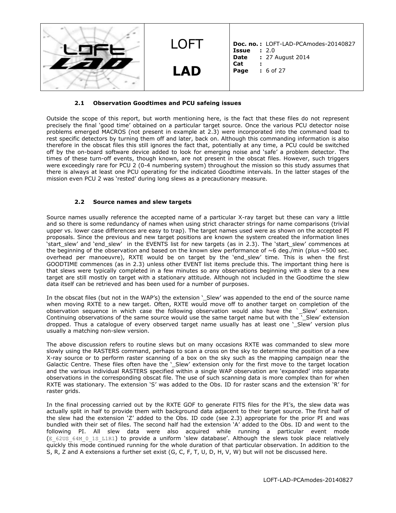

### **2.1 Observation Goodtimes and PCU safeing issues**

Outside the scope of this report, but worth mentioning here, is the fact that these files do not represent precisely the final 'good time' obtained on a particular target source. Once the various PCU detector noise problems emerged MACROS (not present in example at 2.3) were incorporated into the command load to rest specific detectors by turning them off and later, back on. Although this commanding information is also therefore in the obscat files this still ignores the fact that, potentially at any time, a PCU could be switched off by the on-board software device added to look for emerging noise and 'safe' a problem detector. The times of these turn-off events, though known, are not present in the obscat files. However, such triggers were exceedingly rare for PCU 2 (0-4 numbering system) throughout the mission so this study assumes that there is always at least one PCU operating for the indicated Goodtime intervals. In the latter stages of the mission even PCU 2 was 'rested' during long slews as a precautionary measure.

### **2.2 Source names and slew targets**

Source names usually reference the accepted name of a particular X-ray target but these can vary a little and so there is some redundancy of names when using strict character strings for name comparisons (trivial upper vs. lower case differences are easy to trap). The target names used were as shown on the accepted PI proposals. Since the previous and new target positions are known the system created the information lines 'start\_slew' and 'end\_slew' in the EVENTS list for new targets (as in 2.3). The 'start\_slew' commences at the beginning of the observation and based on the known slew performance of  $\sim$  6 deg./min (plus  $\sim$  500 sec. overhead per manoeuvre), RXTE would be on target by the 'end\_slew' time. This is when the first GOODTIME commences (as in 2.3) unless other EVENT list items preclude this. The important thing here is that slews were typically completed in a few minutes so any observations beginning with a slew to a new target are still mostly on target with a stationary attitude. Although not included in the Goodtime the slew data itself can be retrieved and has been used for a number of purposes.

In the obscat files (but not in the WAP's) the extension '\_Slew' was appended to the end of the source name when moving RXTE to a new target. Often, RXTE would move off to another target on completion of the observation sequence in which case the following observation would also have the `\_Slew' extension. Continuing observations of the same source would use the same target name but with the \_\_ Slew' extension dropped. Thus a catalogue of every observed target name usually has at least one ' Slew' version plus usually a matching non-slew version.

The above discussion refers to routine slews but on many occasions RXTE was commanded to slew more slowly using the RASTERS command, perhaps to scan a cross on the sky to determine the position of a new X-ray source or to perform raster scanning of a box on the sky such as the mapping campaign near the Galactic Centre. These files often have the '\_Slew' extension only for the first move to the target location and the various individual RASTERS specified within a single WAP observation are 'expanded' into separate observations in the corresponding obscat file. The use of such scanning data is more complex than for when RXTE was stationary. The extension 'S' was added to the Obs. ID for raster scans and the extension 'R' for raster grids.

In the final processing carried out by the RXTE GOF to generate FITS files for the PI's, the slew data was actually split in half to provide them with background data adjacent to their target source. The first half of the slew had the extension 'Z' added to the Obs. ID code (see 2.3) appropriate for the prior PI and was bundled with their set of files. The second half had the extension 'A' added to the Obs. ID and went to the following PI. All slew data were also acquired while running a particular event mode (E\_62US\_64M\_0\_1S\_L1R1) to provide a uniform 'slew database'. Although the slews took place relatively quickly this mode continued running for the whole duration of that particular observation. In addition to the S, R, Z and A extensions a further set exist (G, C, F, T, U, D, H, V, W) but will not be discussed here.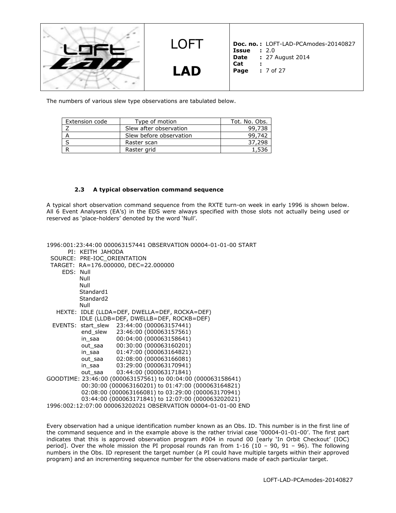

LOFT **LAD**

**Doc. no. :** LOFT-LAD-PCAmodes-20140827 **Issue :** 2.0<br>**Date :** 27 / **Date :** 27 August 2014 **Cat :**

**Page :** 7 of 27

The numbers of various slew type observations are tabulated below.

| Extension code | Type of motion          | Tot. No. Obs. |
|----------------|-------------------------|---------------|
|                | Slew after observation  | 99,738        |
|                | Slew before observation | 99.742        |
|                | Raster scan             | 37,298        |
|                | Raster grid             |               |

#### **2.3 A typical observation command sequence**

A typical short observation command sequence from the RXTE turn-on week in early 1996 is shown below. All 6 Event Analysers (EA's) in the EDS were always specified with those slots not actually being used or reserved as 'place-holders' denoted by the word 'Null'.

1996:001:23:44:00 000063157441 OBSERVATION 00004-01-01-00 START PI: KEITH JAHODA SOURCE: PRE-IOC\_ORIENTATION TARGET: RA=176.000000, DEC=22.000000 EDS: Null Null Null Standard1 Standard2 Null HEXTE: IDLE (LLDA=DEF, DWELLA=DEF, ROCKA=DEF) IDLE (LLDB=DEF, DWELLB=DEF, ROCKB=DEF) EVENTS: start\_slew 23:44:00 (000063157441) end\_slew 23:46:00 (000063157561) in\_saa 00:04:00 (000063158641) out\_saa 00:30:00 (000063160201) in\_saa 01:47:00 (000063164821) out saa 02:08:00 (000063166081) in\_saa 03:29:00 (000063170941) out saa 03:44:00 (000063171841) GOODTIME: 23:46:00 (000063157561) to 00:04:00 (000063158641) 00:30:00 (000063160201) to 01:47:00 (000063164821) 02:08:00 (000063166081) to 03:29:00 (000063170941) 03:44:00 (000063171841) to 12:07:00 (000063202021) 1996:002:12:07:00 000063202021 OBSERVATION 00004-01-01-00 END

Every observation had a unique identification number known as an Obs. ID. This number is in the first line of the command sequence and in the example above is the rather trivial case '00004-01-01-00'. The first part indicates that this is approved observation program #004 in round 00 [early 'In Orbit Checkout' (IOC) period]. Over the whole mission the PI proposal rounds ran from 1-16 (10 – 90, 91 – 96). The following numbers in the Obs. ID represent the target number (a PI could have multiple targets within their approved program) and an incrementing sequence number for the observations made of each particular target.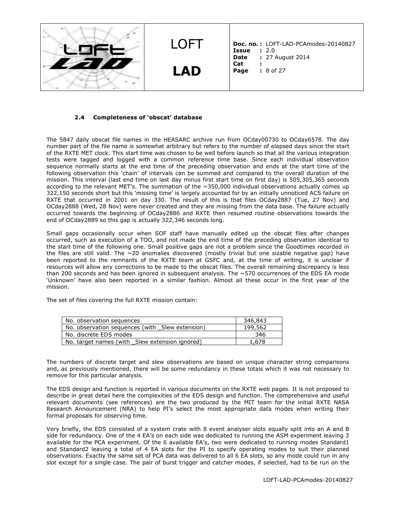

#### **2.4 Completeness of 'obscat' database**

The 5847 daily obscat file names in the HEASARC archive run from OCday00730 to OCday6578. The day number part of the file name is somewhat arbitrary but refers to the number of elapsed days since the start of the RXTE MET clock. This start time was chosen to be well before launch so that all the various integration tests were tagged and logged with a common reference time base. Since each individual observation sequence normally starts at the end time of the preceding observation and ends at the start time of the following observation this 'chain' of intervals can be summed and compared to the overall duration of the mission. This interval (last end time on last day minus first start time on first day) is 505,305,365 seconds according to the relevant MET's. The summation of the  $\sim$ 350,000 individual observations actually comes up 322,150 seconds short but this 'missing time' is largely accounted for by an initially unnoticed ACS failure on RXTE that occurred in 2001 on day 330. The result of this is that files OCday2887 (Tue, 27 Nov) and OCday2888 (Wed, 28 Nov) were never created and they are missing from the data base. The failure actually occurred towards the beginning of OCday2886 and RXTE then resumed routine observations towards the end of OCday2889 so this gap is actually 322,346 seconds long.

Small gaps occasionally occur when SOF staff have manually edited up the obscat files after changes occurred, such as execution of a TOO, and not made the end time of the preceding observation identical to the start time of the following one. Small positive gaps are not a problem since the Goodtimes recorded in the files are still valid. The  $\sim$  20 anomalies discovered (mostly trivial but one sizable negative gap) have been reported to the remnants of the RXTE team at GSFC and, at the time of writing, it is unclear if resources will allow any corrections to be made to the obscat files. The overall remaining discrepancy is less than 200 seconds and has been ignored in subsequent analysis. The ~570 occurrences of the EDS EA mode 'Unknown' have also been reported in a similar fashion. Almost all these occur in the first year of the mission.

The set of files covering the full RXTE mission contain:

| No. observation sequences                       | 346,843 |
|-------------------------------------------------|---------|
| No. observation sequences (with Slew extension) | 199,562 |
| No. discrete EDS modes                          | 346     |
| No. target names (with Slew extension ignored)  | 1,678   |

The numbers of discrete target and slew observations are based on unique character string comparisons and, as previously mentioned, there will be some redundancy in these totals which it was not necessary to remove for this particular analysis.

The EDS design and function is reported in various documents on the RXTE web pages. It is not proposed to describe in great detail here the complexities of the EDS design and function. The comprehensive and useful relevant documents (see references) are the two produced by the MIT team for the initial RXTE NASA Research Announcement (NRA) to help PI's select the most appropriate data modes when writing their formal proposals for observing time.

Very briefly, the EDS consisted of a system crate with 8 event analyser slots equally split into an A and B side for redundancy. One of the 4 EA's on each side was dedicated to running the ASM experiment leaving 3 available for the PCA experiment. Of the 6 available EA's, two were dedicated to running modes Standard1 and Standard2 leaving a total of 4 EA slots for the PI to specify operating modes to suit their planned observations. Exactly the same set of PCA data was delivered to all 6 EA slots, so any mode could run in any slot except for a single case. The pair of burst trigger and catcher modes, if selected, had to be run on the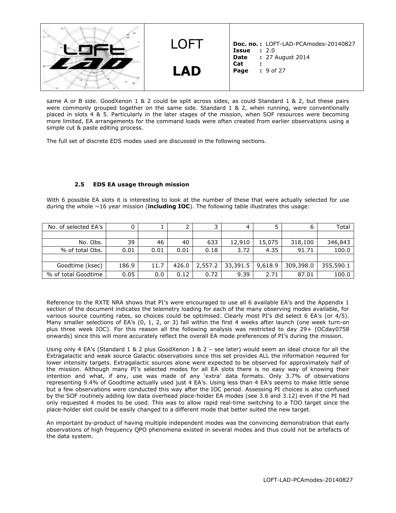

same A or B side. GoodXenon 1 & 2 could be split across sides, as could Standard 1 & 2, but these pairs were commonly grouped together on the same side. Standard 1 & 2, when running, were conventionally placed in slots 4 & 5. Particularly in the later stages of the mission, when SOF resources were becoming more limited, EA arrangements for the command loads were often created from earlier observations using a simple cut & paste editing process.

The full set of discrete EDS modes used are discussed in the following sections.

#### **2.5 EDS EA usage through mission**

With 6 possible EA slots it is interesting to look at the number of these that were actually selected for use during the whole ~16 year mission (**including IOC**). The following table illustrates this usage:

| No. of selected EA's |       |      |       |         | 4        |         |           | Total     |
|----------------------|-------|------|-------|---------|----------|---------|-----------|-----------|
|                      |       |      |       |         |          |         |           |           |
| No. Obs.             | 39    | 46   | 40    | 633     | 12,910   | 15,075  | 318,100   | 346,843   |
| % of total Obs.      | 0.01  | 0.01 | 0.01  | 0.18    | 3.72     | 4.35    | 91.71     | 100.0     |
|                      |       |      |       |         |          |         |           |           |
| Goodtime (ksec)      | 186.9 | 11.7 | 426.0 | 2,557.2 | 33,391.5 | 9,618.9 | 309,398.0 | 355,590.1 |
| % of total Goodtime  | 0.05  | 0.0  | 0.12  | 0.72    | 9.39     | 2.71    | 87.01     | 100.0     |

Reference to the RXTE NRA shows that PI's were encouraged to use all 6 available EA's and the Appendix 1 section of the document indicates the telemetry loading for each of the many observing modes available, for various source counting rates, so choices could be optimised. Clearly most PI's did select 6 EA's (or 4/5). Many smaller selections of EA's (0, 1, 2, or 3) fall within the first 4 weeks after launch (one week turn-on plus three week IOC). For this reason all the following analysis was restricted to day 29+ (OCday0758 onwards) since this will more accurately reflect the overall EA mode preferences of PI's during the mission.

Using only 4 EA's (Standard 1 & 2 plus GoodXenon 1 & 2 - see later) would seem an ideal choice for all the Extragalactic and weak source Galactic observations since this set provides ALL the information required for lower intensity targets. Extragalactic sources alone were expected to be observed for approximately half of the mission. Although many PI's selected modes for all EA slots there is no easy way of knowing their intention and what, if any, use was made of any 'extra' data formats. Only 3.7% of observations representing 9.4% of Goodtime actually used just 4 EA's. Using less than 4 EA's seems to make little sense but a few observations were conducted this way after the IOC period. Assessing PI choices is also confused by the SOF routinely adding low data overhead place-holder EA modes (see 3.6 and 3.12) even if the PI had only requested 4 modes to be used. This was to allow rapid real-time switching to a TOO target since the place-holder slot could be easily changed to a different mode that better suited the new target.

An important by-product of having multiple independent modes was the convincing demonstration that early observations of high frequency QPO phenomena existed in several modes and thus could not be artefacts of the data system.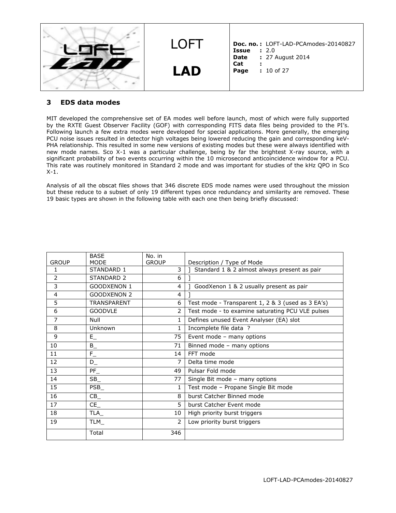| I OFT      | Doc. no.: LOFT-LAD-PCAmodes-20140827<br>: 2.0<br><b>Issue</b> |
|------------|---------------------------------------------------------------|
| <b>LAD</b> | : 27 August 2014<br>Date<br>Cat<br>Page<br>$: 10$ of 27       |

# **3 EDS data modes**

MIT developed the comprehensive set of EA modes well before launch, most of which were fully supported by the RXTE Guest Observer Facility (GOF) with corresponding FITS data files being provided to the PI's. Following launch a few extra modes were developed for special applications. More generally, the emerging PCU noise issues resulted in detector high voltages being lowered reducing the gain and corresponding keV-PHA relationship. This resulted in some new versions of existing modes but these were always identified with new mode names. Sco X-1 was a particular challenge, being by far the brightest X-ray source, with a significant probability of two events occurring within the 10 microsecond anticoincidence window for a PCU. This rate was routinely monitored in Standard 2 mode and was important for studies of the kHz QPO in Sco X-1.

Analysis of all the obscat files shows that 346 discrete EDS mode names were used throughout the mission but these reduce to a subset of only 19 different types once redundancy and similarity are removed. These 19 basic types are shown in the following table with each one then being briefly discussed:

|                | <b>BASE</b>        | No. in       |                                                   |  |
|----------------|--------------------|--------------|---------------------------------------------------|--|
| <b>GROUP</b>   | <b>MODE</b>        | <b>GROUP</b> | Description / Type of Mode                        |  |
| $\mathbf{1}$   | STANDARD 1         | 3            | Standard 1 & 2 almost always present as pair      |  |
| 2              | STANDARD 2         | 6            |                                                   |  |
| 3              | <b>GOODXENON 1</b> | 4            | GoodXenon 1 & 2 usually present as pair           |  |
| 4              | <b>GOODXENON 2</b> | 4            |                                                   |  |
| 5              | <b>TRANSPARENT</b> | 6            | Test mode - Transparent 1, 2 & 3 (used as 3 EA's) |  |
| 6              | <b>GOODVLE</b>     | 2            | Test mode - to examine saturating PCU VLE pulses  |  |
| $\overline{7}$ | Null               | 1            | Defines unused Event Analyser (EA) slot           |  |
| 8              | Unknown            | 1            | Incomplete file data ?                            |  |
| 9              | $E_{-}$            | 75           | Event mode - many options                         |  |
| 10             | $B_{-}$            | 71           | Binned mode - many options                        |  |
| 11             | $\mathsf{F}_-$     | 14           | FFT mode                                          |  |
| 12             | $\mathsf{D}_-$     | 7            | Delta time mode                                   |  |
| 13             | $PF_$              | 49           | Pulsar Fold mode                                  |  |
| 14             | $SB_$              | 77           | Single Bit mode - many options                    |  |
| 15             | PSB                | 1            | Test mode - Propane Single Bit mode               |  |
| 16             | $CB_$              | 8            | burst Catcher Binned mode                         |  |
| 17             | CE                 | 5            | burst Catcher Event mode                          |  |
| 18             | TLA_               | 10           | High priority burst triggers                      |  |
| 19             | TLM                | 2            | Low priority burst triggers                       |  |
|                | Total              | 346          |                                                   |  |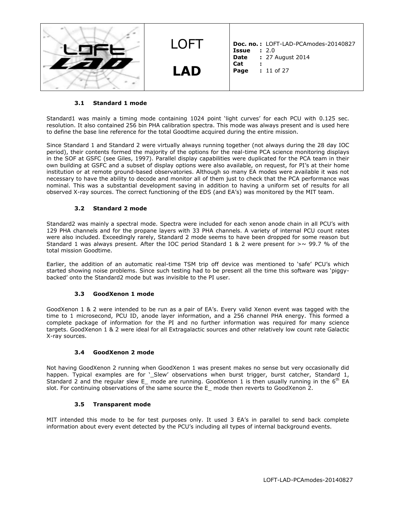| LOET       | Doc. no.: LOFT-LAD-PCAmodes-20140827<br>: 2.0<br>Issue  |
|------------|---------------------------------------------------------|
| <b>LAD</b> | : 27 August 2014<br>Date<br>Cat<br>Page<br>$: 11$ of 27 |

### **3.1 Standard 1 mode**

Standard1 was mainly a timing mode containing 1024 point 'light curves' for each PCU with 0.125 sec. resolution. It also contained 256 bin PHA calibration spectra. This mode was always present and is used here to define the base line reference for the total Goodtime acquired during the entire mission.

Since Standard 1 and Standard 2 were virtually always running together (not always during the 28 day IOC period), their contents formed the majority of the options for the real-time PCA science monitoring displays in the SOF at GSFC (see Giles, 1997). Parallel display capabilities were duplicated for the PCA team in their own building at GSFC and a subset of display options were also available, on request, for PI's at their home institution or at remote ground-based observatories. Although so many EA modes were available it was not necessary to have the ability to decode and monitor all of them just to check that the PCA performance was nominal. This was a substantial development saving in addition to having a uniform set of results for all observed X-ray sources. The correct functioning of the EDS (and EA's) was monitored by the MIT team.

### **3.2 Standard 2 mode**

Standard2 was mainly a spectral mode. Spectra were included for each xenon anode chain in all PCU's with 129 PHA channels and for the propane layers with 33 PHA channels. A variety of internal PCU count rates were also included. Exceedingly rarely, Standard 2 mode seems to have been dropped for some reason but Standard 1 was always present. After the IOC period Standard 1 & 2 were present for  $> \sim 99.7$  % of the total mission Goodtime.

Earlier, the addition of an automatic real-time TSM trip off device was mentioned to 'safe' PCU's which started showing noise problems. Since such testing had to be present all the time this software was 'piggybacked' onto the Standard2 mode but was invisible to the PI user.

### **3.3 GoodXenon 1 mode**

GoodXenon 1 & 2 were intended to be run as a pair of EA's. Every valid Xenon event was tagged with the time to 1 microsecond, PCU ID, anode layer information, and a 256 channel PHA energy. This formed a complete package of information for the PI and no further information was required for many science targets. GoodXenon 1 & 2 were ideal for all Extragalactic sources and other relatively low count rate Galactic X-ray sources.

## **3.4 GoodXenon 2 mode**

Not having GoodXenon 2 running when GoodXenon 1 was present makes no sense but very occasionally did happen. Typical examples are for '\_Slew' observations when burst trigger, burst catcher, Standard 1, Standard 2 and the regular slew E mode are running. GoodXenon 1 is then usually running in the 6<sup>th</sup> EA slot. For continuing observations of the same source the E mode then reverts to GoodXenon 2.

### **3.5 Transparent mode**

MIT intended this mode to be for test purposes only. It used 3 EA's in parallel to send back complete information about every event detected by the PCU's including all types of internal background events.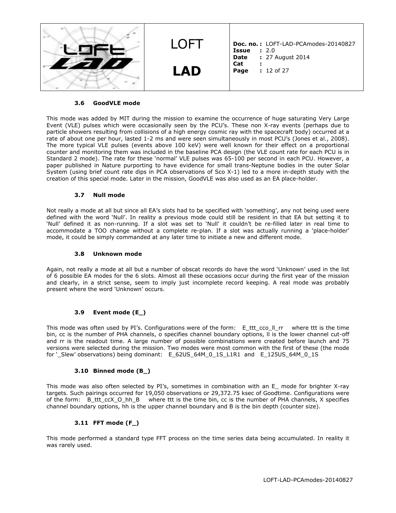| I OFT      | Doc. no.: LOFT-LAD-PCAmodes-20140827<br>: 2.0<br>Issue  |
|------------|---------------------------------------------------------|
| <b>LAD</b> | : 27 August 2014<br>Date<br>Cat<br>Page<br>$: 12$ of 27 |

### **3.6 GoodVLE mode**

This mode was added by MIT during the mission to examine the occurrence of huge saturating Very Large Event (VLE) pulses which were occasionally seen by the PCU's. These non X-ray events (perhaps due to particle showers resulting from collisions of a high energy cosmic ray with the spacecraft body) occurred at a rate of about one per hour, lasted 1-2 ms and were seen simultaneously in most PCU's (Jones et al., 2008). The more typical VLE pulses (events above 100 keV) were well known for their effect on a proportional counter and monitoring them was included in the baseline PCA design (the VLE count rate for each PCU is in Standard 2 mode). The rate for these 'normal' VLE pulses was 65-100 per second in each PCU. However, a paper published in Nature purporting to have evidence for small trans-Neptune bodies in the outer Solar System (using brief count rate dips in PCA observations of Sco X-1) led to a more in-depth study with the creation of this special mode. Later in the mission, GoodVLE was also used as an EA place-holder.

#### **3.7 Null mode**

Not really a mode at all but since all EA's slots had to be specified with 'something', any not being used were defined with the word 'Null'. In reality a previous mode could still be resident in that EA but setting it to 'Null' defined it as non-running. If a slot was set to 'Null' it couldn't be re-filled later in real time to accommodate a TOO change without a complete re-plan. If a slot was actually running a 'place-holder' mode, it could be simply commanded at any later time to initiate a new and different mode.

#### **3.8 Unknown mode**

Again, not really a mode at all but a number of obscat records do have the word 'Unknown' used in the list of 6 possible EA modes for the 6 slots. Almost all these occasions occur during the first year of the mission and clearly, in a strict sense, seem to imply just incomplete record keeping. A real mode was probably present where the word 'Unknown' occurs.

#### **3.9 Event mode (E\_)**

This mode was often used by PI's. Configurations were of the form: E\_ttt\_cco\_II\_rr where ttt is the time bin, cc is the number of PHA channels, o specifies channel boundary options, ll is the lower channel cut-off and rr is the readout time. A large number of possible combinations were created before launch and 75 versions were selected during the mission. Two modes were most common with the first of these (the mode for '\_Slew' observations) being dominant: E\_62US\_64M\_0\_1S\_L1R1 and E\_125US\_64M\_0\_1S

#### **3.10 Binned mode (B\_)**

This mode was also often selected by PI's, sometimes in combination with an E\_ mode for brighter X-ray targets. Such pairings occurred for 19,050 observations or 29,372.75 ksec of Goodtime. Configurations were of the form: B\_ttt\_ccX\_O\_hh\_B where ttt is the time bin, cc is the number of PHA channels, X specifies channel boundary options, hh is the upper channel boundary and B is the bin depth (counter size).

### **3.11 FFT mode (F\_)**

This mode performed a standard type FFT process on the time series data being accumulated. In reality it was rarely used.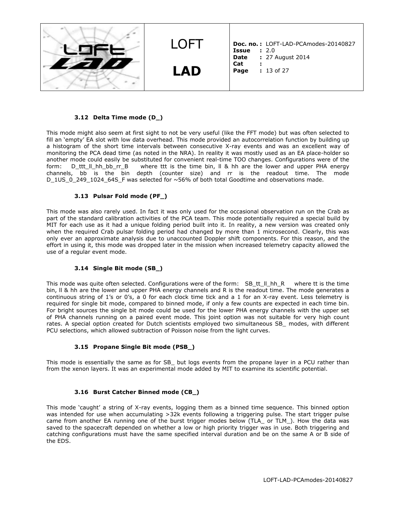

#### **3.12 Delta Time mode (D\_)**

This mode might also seem at first sight to not be very useful (like the FFT mode) but was often selected to fill an 'empty' EA slot with low data overhead. This mode provided an autocorrelation function by building up a histogram of the short time intervals between consecutive X-ray events and was an excellent way of monitoring the PCA dead time (as noted in the NRA). In reality it was mostly used as an EA place-holder so another mode could easily be substituted for convenient real-time TOO changes. Configurations were of the form: D\_ttt\_II\_hh\_bb\_rr\_B where ttt is the time bin, II & hh are the lower and upper PHA energy channels, bb is the bin depth (counter size) and rr is the readout time. The mode D\_1US\_0\_249\_1024\_64S\_F was selected for ~56% of both total Goodtime and observations made.

#### **3.13 Pulsar Fold mode (PF\_)**

This mode was also rarely used. In fact it was only used for the occasional observation run on the Crab as part of the standard calibration activities of the PCA team. This mode potentially required a special build by MIT for each use as it had a unique folding period built into it. In reality, a new version was created only when the required Crab pulsar folding period had changed by more than 1 microsecond. Clearly, this was only ever an approximate analysis due to unaccounted Doppler shift components. For this reason, and the effort in using it, this mode was dropped later in the mission when increased telemetry capacity allowed the use of a regular event mode.

#### **3.14 Single Bit mode (SB\_)**

This mode was quite often selected. Configurations were of the form: SB\_tt\_ll\_hh\_R where tt is the time bin, II & hh are the lower and upper PHA energy channels and R is the readout time. The mode generates a continuous string of 1's or 0's, a 0 for each clock time tick and a 1 for an X-ray event. Less telemetry is required for single bit mode, compared to binned mode, if only a few counts are expected in each time bin. For bright sources the single bit mode could be used for the lower PHA energy channels with the upper set of PHA channels running on a paired event mode. This joint option was not suitable for very high count rates. A special option created for Dutch scientists employed two simultaneous SB\_ modes, with different PCU selections, which allowed subtraction of Poisson noise from the light curves.

#### **3.15 Propane Single Bit mode (PSB\_)**

This mode is essentially the same as for SB but logs events from the propane layer in a PCU rather than from the xenon layers. It was an experimental mode added by MIT to examine its scientific potential.

#### **3.16 Burst Catcher Binned mode (CB\_)**

This mode 'caught' a string of X-ray events, logging them as a binned time sequence. This binned option was intended for use when accumulating >32k events following a triggering pulse. The start trigger pulse came from another EA running one of the burst trigger modes below (TLA\_ or TLM\_). How the data was saved to the spacecraft depended on whether a low or high priority trigger was in use. Both triggering and catching configurations must have the same specified interval duration and be on the same A or B side of the EDS.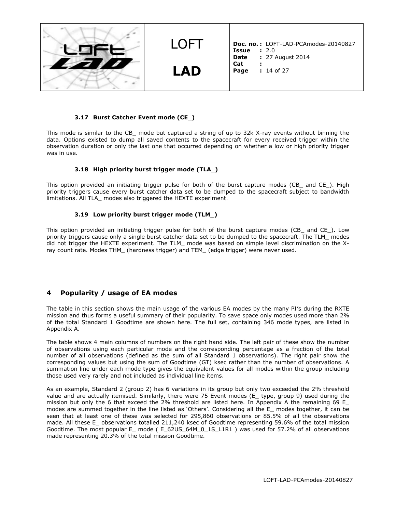

#### **3.17 Burst Catcher Event mode (CE\_)**

This mode is similar to the CB mode but captured a string of up to 32k X-ray events without binning the data. Options existed to dump all saved contents to the spacecraft for every received trigger within the observation duration or only the last one that occurred depending on whether a low or high priority trigger was in use.

#### **3.18 High priority burst trigger mode (TLA\_)**

This option provided an initiating trigger pulse for both of the burst capture modes (CB\_ and CE\_). High priority triggers cause every burst catcher data set to be dumped to the spacecraft subject to bandwidth limitations. All TLA\_ modes also triggered the HEXTE experiment.

#### **3.19 Low priority burst trigger mode (TLM\_)**

This option provided an initiating trigger pulse for both of the burst capture modes (CB and CE). Low priority triggers cause only a single burst catcher data set to be dumped to the spacecraft. The TLM\_ modes did not trigger the HEXTE experiment. The TLM\_ mode was based on simple level discrimination on the Xray count rate. Modes THM (hardness trigger) and TEM (edge trigger) were never used.

# **4 Popularity / usage of EA modes**

The table in this section shows the main usage of the various EA modes by the many PI's during the RXTE mission and thus forms a useful summary of their popularity. To save space only modes used more than 2% of the total Standard 1 Goodtime are shown here. The full set, containing 346 mode types, are listed in Appendix A.

The table shows 4 main columns of numbers on the right hand side. The left pair of these show the number of observations using each particular mode and the corresponding percentage as a fraction of the total number of all observations (defined as the sum of all Standard 1 observations). The right pair show the corresponding values but using the sum of Goodtime (GT) ksec rather than the number of observations. A summation line under each mode type gives the equivalent values for all modes within the group including those used very rarely and not included as individual line items.

As an example, Standard 2 (group 2) has 6 variations in its group but only two exceeded the 2% threshold value and are actually itemised. Similarly, there were 75 Event modes (E\_ type, group 9) used during the mission but only the 6 that exceed the 2% threshold are listed here. In Appendix A the remaining 69 E\_ modes are summed together in the line listed as 'Others'. Considering all the E\_ modes together, it can be seen that at least one of these was selected for 295,860 observations or 85.5% of all the observations made. All these E observations totalled 211,240 ksec of Goodtime representing 59.6% of the total mission Goodtime. The most popular E mode ( E 62US 64M 0 1S L1R1 ) was used for 57.2% of all observations made representing 20.3% of the total mission Goodtime.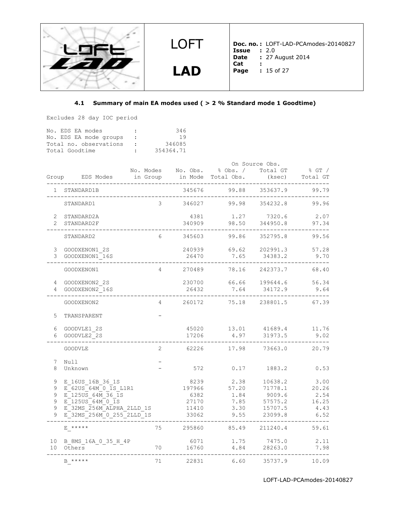

# **4.1 Summary of main EA modes used ( > 2 % Standard mode 1 Goodtime)**

Excludes 28 day IOC period

| No. EDS EA modes       | $\ddot{\phantom{a}}$ | 346       |
|------------------------|----------------------|-----------|
| No. EDS EA mode groups | $\sim$ 1.000 $\pm$   | 19        |
| Total no. observations | $\cdot$              | 346085    |
| Total Goodtime         | $\cdot$ .            | 354364.71 |

|          |                                     |                |                 |                                      | On Source Obs.      |                      |
|----------|-------------------------------------|----------------|-----------------|--------------------------------------|---------------------|----------------------|
|          |                                     |                |                 | No. Modes No. Obs. % Obs. / Total GT |                     | $\frac{1}{6}$ GT $/$ |
|          | Group EDS Modes                     |                |                 | in Group in Mode Total Obs.          | (ksec)              | Total GT             |
|          | STANDARD1B<br>وكالمستحدث كالمستحدث  |                | 345676          | 99.88                                | 353637.9            | 99.79                |
|          | STANDARD1                           | 3              | 346027          | 99.98                                | 354232.8            | 99.96                |
|          | 2 STANDARD2A                        |                | 4381            | 1.27                                 | 7320.6              | 2.07                 |
|          | 2 STANDARD2F                        |                | 340909          | 98.50                                | 344950.8            | 97.34                |
|          | STANDARD2                           | 6              | 345603          | 99.86                                | 352795.8            | 99.56                |
|          | 3 GOODXENON1 2S                     |                | 240939          | 69.62                                | 202991.3            | 57.28                |
|          | 3 GOODXENON1 16S                    |                | 26470           | 7.65                                 | 34383.2             | 9.70                 |
|          | GOODXENON1                          | $\overline{4}$ | 270489          | 78.16                                | 242373.7            | 68.40                |
|          |                                     |                |                 |                                      |                     |                      |
|          | 4 GOODXENON2 2S<br>4 GOODXENON2 16S |                | 230700<br>26432 | 66.66<br>7.64                        | 199644.6<br>34172.9 | 56.34<br>9.64        |
|          |                                     |                |                 |                                      |                     |                      |
|          | GOODXENON2                          | 4              | 260172          | 75.18                                | 238801.5            | 67.39                |
| 5        | <b>TRANSPARENT</b>                  |                |                 |                                      |                     |                      |
| 6        | GOODVLE1 2S                         |                | 45020           | 13.01                                | 41689.4             | 11.76                |
| 6        | GOODVLE2 2S                         |                | 17206           | 4.97                                 | 31973.5             | 9.02                 |
|          | <b>GOODVLE</b>                      | 2              | 62226           | 17.98                                | 73663.0             | 20.79                |
|          |                                     |                |                 |                                      |                     |                      |
| 7<br>8   | Null<br>Unknown                     |                | 572             | 0.17                                 | 1883.2              | 0.53                 |
|          |                                     |                |                 |                                      |                     |                      |
| 9        | E 16US 16B 36 1S                    |                | 8239            | 2.38                                 | 10638.2             | 3.00                 |
| 9        | E 62US 64M 0 1S L1R1                |                | 197966          | 57.20                                | 71778.1             | 20.26                |
| 9        | E 125US 64M 36 1S                   |                | 6382            | 1.84                                 | 9009.6              | 2.54                 |
| 9        | E 125US 64M 0 1S                    |                | 27170           | 7.85                                 | 57575.2             | 16.25                |
| 9        | E 32MS 256M ALPHA 2LLD 1S           |                | 11410           | 3.30                                 | 15707.5             | 4.43                 |
| 9        | E 32MS 256M 0 255 2LLD 1S           |                | 33062           | 9.55                                 | 23099.8             | 6.52                 |
|          | E *****                             | 75             | 295860          | 85.49                                | 211240.4            | 59.61                |
| 10<br>10 | B_8MS_16A_0_35_H_4P<br>Others       | 70             | 6071<br>16760   | 1.75<br>4.84                         | 7475.0<br>28263.0   | 2.11<br>7.98         |
|          |                                     |                |                 |                                      |                     |                      |
|          | B *****                             | 71             | 22831           | 6.60                                 | 35737.9             | 10.09                |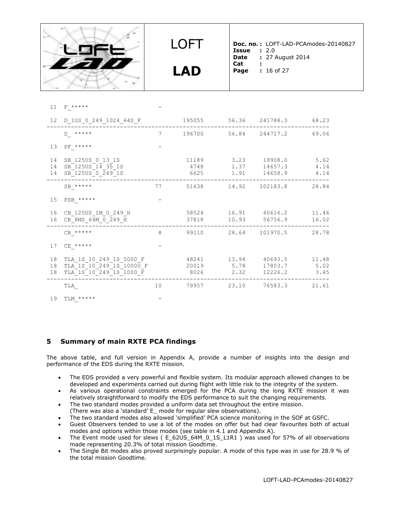

11 F \*\*\*\*\*

LOFT

**LAD**

**Doc. no. :** LOFT-LAD-PCAmodes-20140827 **Issue :** 2.0<br>**Date :** 27 **Date :** 27 August 2014

- **Cat :**
- **Page :** 16 of 27

| <b>CONTRACTOR</b> |   |      |
|-------------------|---|------|
|                   |   |      |
|                   |   |      |
|                   |   |      |
| -                 |   |      |
|                   |   |      |
|                   | . | ---- |

|                | 12 D_1US_0_249_1024_64S_F                                                      |    |  | 195055 56.36 241788.3 68.23                                                 |                |
|----------------|--------------------------------------------------------------------------------|----|--|-----------------------------------------------------------------------------|----------------|
|                | $D$ *****                                                                      |    |  | 7 196700 56.84 244717.2 69.06                                               |                |
| 13             | $PF$ *****                                                                     |    |  |                                                                             |                |
| 14<br>14<br>14 | SB 125US 0 13 1S<br>SB 125US 14 35 1S<br>SB_125US_0_249_1S                     |    |  | 11189 3.23 19908.0 5.62<br>4748 1.37 14657.3 4.14<br>6625 1.91 14658.9 4.14 |                |
|                | $SB$ *****                                                                     | 77 |  | 51638 14.92 102183.8 28.84                                                  |                |
| 15             | $PSB_+$ *****                                                                  |    |  |                                                                             |                |
| 16<br>16       | CB 125US 1M 0 249 H<br>CB_8MS_64M_0_249_H                                      |    |  | 58524 16.91 40616.2<br>37818 10.93 56756.9                                  | 11.46<br>16.02 |
|                | $CB$ *****                                                                     | 8  |  | 99110 28.64 101970.5 28.78                                                  |                |
| 17             | $CE$ *****                                                                     |    |  |                                                                             |                |
| 18<br>18<br>18 | TLA 1S 10 249 1S 5000 F<br>TLA 1S 10 249 1S 10000 F<br>TLA_1S_10_249_1S_1000_F |    |  | 48241 13.94 40693.5<br>20019 5.78 17803.7 5.02<br>8026 2.32 12226.2 3.45    | 11.48          |
|                | TLA                                                                            | 10 |  | 79957 23.10 76583.3                                                         | 21.61          |
| 19             | $TLM$ *****                                                                    |    |  |                                                                             |                |

# **5 Summary of main RXTE PCA findings**

The above table, and full version in Appendix A, provide a number of insights into the design and performance of the EDS during the RXTE mission.

- The EDS provided a very powerful and flexible system. Its modular approach allowed changes to be developed and experiments carried out during flight with little risk to the integrity of the system.
- As various operational constraints emerged for the PCA during the long RXTE mission it was relatively straightforward to modify the EDS performance to suit the changing requirements.
- The two standard modes provided a uniform data set throughout the entire mission. (There was also a 'standard' E\_ mode for regular slew observations).
- The two standard modes also allowed 'simplified' PCA science monitoring in the SOF at GSFC.
- Guest Observers tended to use a lot of the modes on offer but had clear favourites both of actual modes and options within those modes (see table in 4.1 and Appendix A).
- The Event mode used for slews ( E 62US 64M 0 1S L1R1 ) was used for 57% of all observations made representing 20.3% of total mission Goodtime.
- The Single Bit modes also proved surprisingly popular. A mode of this type was in use for 28.9 % of the total mission Goodtime.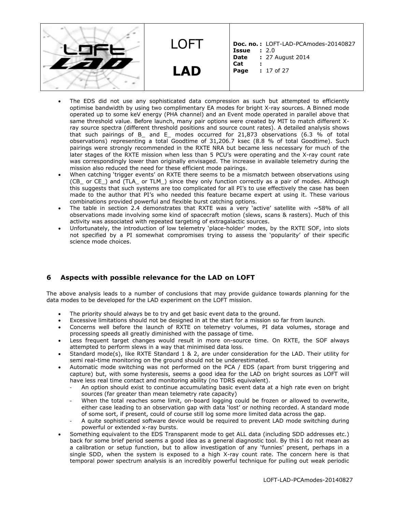LOFT **LAD Doc. no. :** LOFT-LAD-PCAmodes-20140827 **Issue :** 2.0<br>**Date :** 27 **Date :** 27 August 2014 **Cat : Page :** 17 of 27

- The EDS did not use any sophisticated data compression as such but attempted to efficiently optimise bandwidth by using two complimentary EA modes for bright X-ray sources. A Binned mode operated up to some keV energy (PHA channel) and an Event mode operated in parallel above that same threshold value. Before launch, many pair options were created by MIT to match different Xray source spectra (different threshold positions and source count rates). A detailed analysis shows that such pairings of B\_ and E\_ modes occurred for 21,873 observations (6.3 % of total observations) representing a total Goodtime of 31,206.7 ksec (8.8 % of total Goodtime). Such pairings were strongly recommended in the RXTE NRA but became less necessary for much of the later stages of the RXTE mission when less than 5 PCU's were operating and the X-ray count rate was correspondingly lower than originally envisaged. The increase in available telemetry during the mission also reduced the need for these efficient mode pairings.
- When catching 'trigger events' on RXTE there seems to be a mismatch between observations using (CB\_ or CE\_) and (TLA\_ or TLM\_) since they only function correctly as a pair of modes. Although this suggests that such systems are too complicated for all PI's to use effectively the case has been made to the author that PI's who needed this feature became expert at using it. These various combinations provided powerful and flexible burst catching options.
- The table in section 2.4 demonstrates that RXTE was a very 'active' satellite with  $\sim$  58% of all observations made involving some kind of spacecraft motion (slews, scans & rasters). Much of this activity was associated with repeated targeting of extragalactic sources.
- Unfortunately, the introduction of low telemetry 'place-holder' modes, by the RXTE SOF, into slots not specified by a PI somewhat compromises trying to assess the 'popularity' of their specific science mode choices.

# **6 Aspects with possible relevance for the LAD on LOFT**

The above analysis leads to a number of conclusions that may provide guidance towards planning for the data modes to be developed for the LAD experiment on the LOFT mission.

- The priority should always be to try and get basic event data to the ground.
- Excessive limitations should not be designed in at the start for a mission so far from launch.
- Concerns well before the launch of RXTE on telemetry volumes, PI data volumes, storage and processing speeds all greatly diminished with the passage of time.
- Less frequent target changes would result in more on-source time. On RXTE, the SOF always attempted to perform slews in a way that minimised data loss.
- Standard mode(s), like RXTE Standard 1 & 2, are under consideration for the LAD. Their utility for semi real-time monitoring on the ground should not be underestimated.
- Automatic mode switching was not performed on the PCA / EDS (apart from burst triggering and capture) but, with some hysteresis, seems a good idea for the LAD on bright sources as LOFT will have less real time contact and monitoring ability (no TDRS equivalent).
	- An option should exist to continue accumulating basic event data at a high rate even on bright sources (far greater than mean telemetry rate capacity)
	- When the total reaches some limit, on-board logging could be frozen or allowed to overwrite, either case leading to an observation gap with data 'lost' or nothing recorded. A standard mode of some sort, if present, could of course still log some more limited data across the gap.
	- A quite sophisticated software device would be required to prevent LAD mode switching during powerful or extended x-ray bursts.
- Something equivalent to the EDS Transparent mode to get ALL data (including SDD addresses etc.) back for some brief period seems a good idea as a general diagnostic tool. By this I do not mean as a calibration or setup function, but to allow investigation of any 'funnies' present, perhaps in a single SDD, when the system is exposed to a high X-ray count rate. The concern here is that temporal power spectrum analysis is an incredibly powerful technique for pulling out weak periodic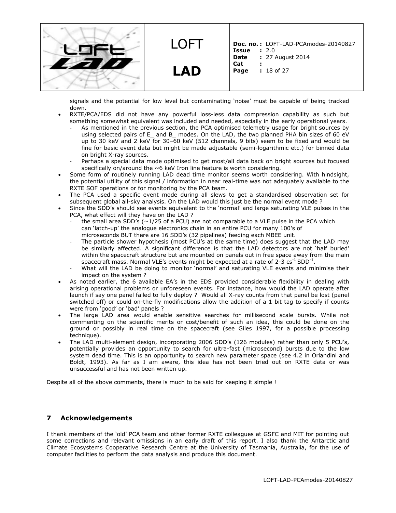**LAD**

LOFT

**Doc. no. :** LOFT-LAD-PCAmodes-20140827 **Issue :** 2.0<br>**Date :** 27 **Date :** 27 August 2014 **Cat : Page :** 18 of 27

signals and the potential for low level but contaminating 'noise' must be capable of being tracked down.

- RXTE/PCA/EDS did not have any powerful loss-less data compression capability as such but something somewhat equivalent was included and needed, especially in the early operational years.
	- As mentioned in the previous section, the PCA optimised telemetry usage for bright sources by using selected pairs of E\_ and B\_ modes. On the LAD, the two planned PHA bin sizes of 60 eV up to 30 keV and 2 keV for 30–60 keV (512 channels, 9 bits) seem to be fixed and would be fine for basic event data but might be made adjustable (semi-logarithmic etc.) for binned data on bright X-ray sources.
	- Perhaps a special data mode optimised to get most/all data back on bright sources but focused specifically on/around the  $~6$  keV Iron line feature is worth considering.
- Some form of routinely running LAD dead time monitor seems worth considering. With hindsight, the potential utility of this signal / information in near real-time was not adequately available to the RXTE SOF operations or for monitoring by the PCA team.
- The PCA used a specific event mode during all slews to get a standardised observation set for subsequent global all-sky analysis. On the LAD would this just be the normal event mode ?
- Since the SDD's should see events equivalent to the 'normal' and large saturating VLE pulses in the PCA, what effect will they have on the LAD ?
	- the small area SDD's ( $\sim$ 1/25 of a PCU) are not comparable to a VLE pulse in the PCA which can 'latch-up' the analogue electronics chain in an entire PCU for many 100's of microseconds BUT there are 16 SDD's (32 pipelines) feeding each MBEE unit.
	- The particle shower hypothesis (most PCU's at the same time) does suggest that the LAD may be similarly affected. A significant difference is that the LAD detectors are not 'half buried' within the spacecraft structure but are mounted on panels out in free space away from the main spacecraft mass. Normal VLE's events might be expected at a rate of 2-3 cs<sup>-1</sup> SDD<sup>-1</sup>.
	- What will the LAD be doing to monitor 'normal' and saturating VLE events and minimise their impact on the system ?
- As noted earlier, the 6 available EA's in the EDS provided considerable flexibility in dealing with arising operational problems or unforeseen events. For instance, how would the LAD operate after launch if say one panel failed to fully deploy ? Would all X-ray counts from that panel be lost (panel switched off) or could on-the-fly modifications allow the addition of a 1 bit tag to specify if counts were from 'good' or 'bad' panels ?
- The large LAD area would enable sensitive searches for millisecond scale bursts. While not commenting on the scientific merits or cost/benefit of such an idea, this could be done on the ground or possibly in real time on the spacecraft (see Giles 1997, for a possible processing technique).
- The LAD multi-element design, incorporating 2006 SDD's (126 modules) rather than only 5 PCU's, potentially provides an opportunity to search for ultra-fast (microsecond) bursts due to the low system dead time. This is an opportunity to search new parameter space (see 4.2 in Orlandini and Boldt, 1993). As far as I am aware, this idea has not been tried out on RXTE data or was unsuccessful and has not been written up.

Despite all of the above comments, there is much to be said for keeping it simple !

# **7 Acknowledgements**

I thank members of the 'old' PCA team and other former RXTE colleagues at GSFC and MIT for pointing out some corrections and relevant omissions in an early draft of this report. I also thank the Antarctic and Climate Ecosystems Cooperative Research Centre at the University of Tasmania, Australia, for the use of computer facilities to perform the data analysis and produce this document.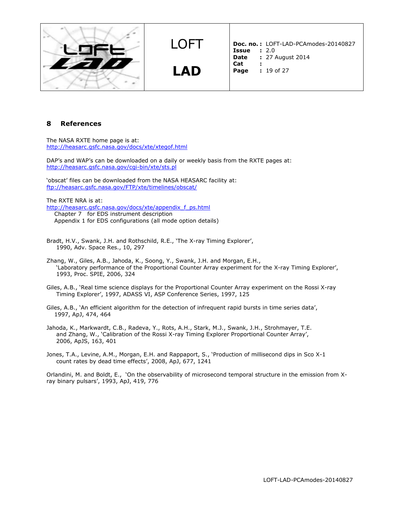

**LAD**

**Doc. no. :** LOFT-LAD-PCAmodes-20140827 **Issue :** 2.0<br>**Date :** 27 **Date :** 27 August 2014

- **Cat :**
- **Page :** 19 of 27

# **8 References**

The NASA RXTE home page is at: <http://heasarc.gsfc.nasa.gov/docs/xte/xtegof.html>

DAP's and WAP's can be downloaded on a daily or weekly basis from the RXTE pages at: <http://heasarc.gsfc.nasa.gov/cgi-bin/xte/sts.pl>

'obscat' files can be downloaded from the NASA HEASARC facility at: <ftp://heasarc.gsfc.nasa.gov/FTP/xte/timelines/obscat/>

The RXTE NRA is at:

[http://heasarc.gsfc.nasa.gov/docs/xte/appendix\\_f\\_ps.html](http://heasarc.gsfc.nasa.gov/docs/xte/appendix_f_ps.html) Chapter 7 for EDS instrument description Appendix 1 for EDS configurations (all mode option details)

- Bradt, H.V., Swank, J.H. and Rothschild, R.E., 'The X-ray Timing Explorer', 1990, Adv. Space Res., 10, 297
- Zhang, W., Giles, A.B., Jahoda, K., Soong, Y., Swank, J.H. and Morgan, E.H., 'Laboratory performance of the Proportional Counter Array experiment for the X-ray Timing Explorer', 1993, Proc. SPIE, 2006, 324
- Giles, A.B., 'Real time science displays for the Proportional Counter Array experiment on the Rossi X-ray Timing Explorer', 1997, ADASS VI, ASP Conference Series, 1997, 125

Giles, A.B., 'An efficient algorithm for the detection of infrequent rapid bursts in time series data', 1997, ApJ, 474, 464

Jahoda, K., Markwardt, C.B., Radeva, Y., Rots, A.H., Stark, M.J., Swank, J.H., Strohmayer, T.E. and Zhang, W., 'Calibration of the Rossi X-ray Timing Explorer Proportional Counter Array', 2006, ApJS, 163, 401

Jones, T.A., Levine, A.M., Morgan, E.H. and Rappaport, S., 'Production of millisecond dips in Sco X-1 count rates by dead time effects', 2008, ApJ, 677, 1241

Orlandini, M. and Boldt, E., 'On the observability of microsecond temporal structure in the emission from Xray binary pulsars', 1993, ApJ, 419, 776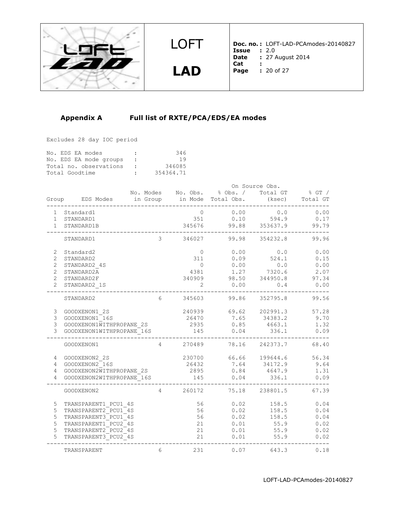

**LAD**

**Doc. no. :** LOFT-LAD-PCAmodes-20140827 **Issue :** 2.0 **Date :** 27 August 2014<br>**Cat : Cat : Page :** 20 of 27

# **Appendix A Full list of RXTE/PCA/EDS/EA modes**

Excludes 28 day IOC period

|                |  | No. EDS EA modes |                        | $\mathbf{r}$        | 346       |
|----------------|--|------------------|------------------------|---------------------|-----------|
|                |  |                  | No. EDS EA mode groups | $\sim$ 1.000 $\sim$ | 19        |
|                |  |                  | Total no. observations | <b>Contract</b>     | 346085    |
| Total Goodtime |  |                  |                        | $\sim$              | 354364.71 |

|                |                                                    |                |          |                                      | On Source Obs.     |                      |
|----------------|----------------------------------------------------|----------------|----------|--------------------------------------|--------------------|----------------------|
|                |                                                    |                |          | No. Modes No. Obs. % Obs. / Total GT |                    | $\frac{1}{6}$ GT $/$ |
|                | Group EDS Modes in Group in Mode Total Obs. (ksec) |                |          |                                      |                    | Total GT             |
|                | 1 Standard1                                        |                | $\circ$  | 0.00                                 | 0.0                | 0.00                 |
|                | 1 STANDARD1                                        |                | 351      | 0.10                                 | 594.9              | 0.17                 |
|                | 1 STANDARD1B                                       |                | 345676   |                                      | $99.88$ $353637.9$ | 99.79                |
|                | STANDARD1                                          | 3              | 346027   |                                      | 99.98 354232.8     | 99.96                |
| $2^{\circ}$    | Standard2                                          |                | $\circ$  | 0.00                                 | 0.0                | 0.00                 |
| $\overline{2}$ | STANDARD2                                          |                | 311      | 0.09                                 | 524.1              | 0.15                 |
| $\overline{2}$ | STANDARD2 4S                                       |                | $\Omega$ | 0.00                                 | 0.0                | 0.00                 |
| $\overline{2}$ | STANDARD2A                                         |                | 4381     | 1.27                                 | 7320.6             | 2.07                 |
| $\overline{2}$ | STANDARD2F                                         |                |          | 340909 98.50                         | 344950.8           | 97.34                |
| $\overline{2}$ | STANDARD2 1S                                       |                | 2        | 0.00                                 | 0.4                | 0.00                 |
|                | STANDARD2                                          | 6              | 345603   | 99.86                                | 352795.8           | 99.56                |
| 3              | GOODXENON1 2S                                      |                |          | 240939 69.62 202991.3                |                    | 57.28                |
| 3              | GOODXENON1 16S                                     |                | 26470    | 7.65                                 | 34383.2            | 9.70                 |
| 3              | GOODXENON1WITHPROPANE 2S                           |                | 2935     | 0.85                                 | 4663.1             | 1.32                 |
| 3              | GOODXENON1WITHPROPANE 16S                          |                | 145      | 0.04                                 | 336.1              | 0.09                 |
|                | GOODXENON1                                         | $4 \quad$      | 270489   | 78.16                                | 242373.7           | 68.40                |
| 4              | GOODXENON2 2S                                      |                | 230700   | 66.66                                | 199644.6           | 56.34                |
| $\overline{4}$ | GOODXENON2 16S                                     |                | 26432    | 7.64                                 | 34172.9            | 9.64                 |
| 4              | GOODXENON2WITHPROPANE 2S                           |                | 2895     | 0.84                                 | 4647.9             | 1.31                 |
| 4              | GOODXENON2WITHPROPANE 16S                          |                | 145      | 0.04                                 | 336.1              | 0.09                 |
|                | GOODXENON2                                         | $\overline{4}$ | 260172   |                                      | 75.18 238801.5     | 67.39                |
| 5              | TRANSPARENT1 PCU1 4S                               |                | 56       | 0.02                                 | 158.5              | 0.04                 |
| 5              | TRANSPARENT2 PCU1 4S                               |                | 56       | 0.02                                 | 158.5              | 0.04                 |
| 5              | TRANSPARENT3 PCU1 4S                               |                | 56       | 0.02                                 | 158.5              | 0.04                 |
| 5              | TRANSPARENT1 PCU2 4S                               |                | 21       | 0.01                                 | 55.9               | 0.02                 |
| 5              | TRANSPARENT2 PCU2 4S                               |                | 21       | 0.01                                 | 55.9               | 0.02                 |
| 5              | TRANSPARENT3 PCU2 4S                               |                | 21       | 0.01                                 | 55.9               | 0.02                 |
|                | TRANSPARENT                                        | 6              | 231      | 0.07                                 | 643.3              | 0.18                 |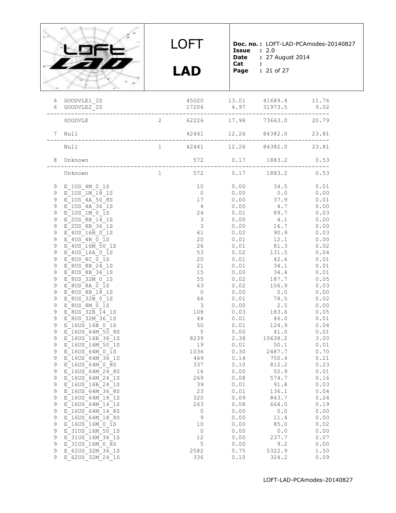

**LAD**

**Doc. no. :** LOFT-LAD-PCAmodes-20140827 **Issue :** 2.0

**Date :** 27 August 2014

- **Cat :**
- **Page :** 21 of 27

| GOODVLE1 2S                                                                                                                                                                                                                                                                                                                                                                                                                                                                                 |                                                                                                                                                                                            |                                                                                                                                                                                                                                                                                      |                                                                                              |                                                                                                  | 9.02                                                                                                                                                                                                                                                                                                                                                                                                                                                                                                 |
|---------------------------------------------------------------------------------------------------------------------------------------------------------------------------------------------------------------------------------------------------------------------------------------------------------------------------------------------------------------------------------------------------------------------------------------------------------------------------------------------|--------------------------------------------------------------------------------------------------------------------------------------------------------------------------------------------|--------------------------------------------------------------------------------------------------------------------------------------------------------------------------------------------------------------------------------------------------------------------------------------|----------------------------------------------------------------------------------------------|--------------------------------------------------------------------------------------------------|------------------------------------------------------------------------------------------------------------------------------------------------------------------------------------------------------------------------------------------------------------------------------------------------------------------------------------------------------------------------------------------------------------------------------------------------------------------------------------------------------|
| GOODVLE                                                                                                                                                                                                                                                                                                                                                                                                                                                                                     | 2                                                                                                                                                                                          |                                                                                                                                                                                                                                                                                      |                                                                                              |                                                                                                  |                                                                                                                                                                                                                                                                                                                                                                                                                                                                                                      |
|                                                                                                                                                                                                                                                                                                                                                                                                                                                                                             |                                                                                                                                                                                            |                                                                                                                                                                                                                                                                                      |                                                                                              |                                                                                                  | 23.81                                                                                                                                                                                                                                                                                                                                                                                                                                                                                                |
| Null                                                                                                                                                                                                                                                                                                                                                                                                                                                                                        | 1                                                                                                                                                                                          |                                                                                                                                                                                                                                                                                      |                                                                                              |                                                                                                  |                                                                                                                                                                                                                                                                                                                                                                                                                                                                                                      |
| Unknown                                                                                                                                                                                                                                                                                                                                                                                                                                                                                     |                                                                                                                                                                                            |                                                                                                                                                                                                                                                                                      |                                                                                              |                                                                                                  | 0.53                                                                                                                                                                                                                                                                                                                                                                                                                                                                                                 |
| Unknown                                                                                                                                                                                                                                                                                                                                                                                                                                                                                     | $\mathbf{1}$                                                                                                                                                                               | 572                                                                                                                                                                                                                                                                                  |                                                                                              |                                                                                                  | 0.53                                                                                                                                                                                                                                                                                                                                                                                                                                                                                                 |
| E 1US 4A 50 8S<br>E 1US 4A 36 1S<br>E 1US 1M 0 1S<br>E 2US 8B 14 1S<br>E 2US 8B 36 1S<br>E 4US 16B 0 1S<br>$E$ 4US 4B 0 1S<br>E 4US 16M 50 1S<br>E 4US 16A 0 1S<br>E 8US 8C 0 1S<br>E 8US 8B 24 1S<br>E 8US 8B 36 1S<br>E 8US 32M 0 1S<br>E 8US 8A 0 1S<br>E 8US 8B 18 1S<br>E 8US 32B 0 1S<br>E 8US 8M 0 1S<br>E 8US 32B 14 1S<br>E 8US 32M 36 1S<br>E 16US 16B 0 1S<br>E 16US 64M 50 8S<br>E 16US 16B 36 1S<br>E 16US 16M 50 1S<br>E 16US 64M 0 1S<br>E 16US 64M 36 1S<br>E 16US 64M 0 8S |                                                                                                                                                                                            | 10<br>$\overline{0}$<br>17<br>$4\overline{4}$<br>24<br>$\overline{\mathbf{3}}$<br>$\overline{\mathbf{3}}$<br>61<br>20<br>26<br>53<br>20<br>21<br>15<br>55<br>63<br>$\overline{0}$<br>46<br>$\overline{\mathbf{3}}$<br>108<br>44<br>50<br>$5\overline{)}$<br>19<br>1036<br>469<br>337 | 0.00<br>0.00<br>0.00<br>0.01<br>0.01<br>0.02<br>0.00<br>0.00<br>0.01<br>0.01<br>0.00<br>0.10 | $0.0$<br>37.9<br>4.1<br>12.1<br>81.3<br>$42.4$<br>$34.1$<br>106.9<br>0.0<br>2.5<br>124.9<br>41.0 | 0.01<br>0.00<br>0.01<br>0.00<br>0.03<br>0.00<br>0.00<br>0.03<br>0.00<br>0.02<br>0.04<br>0.01<br>0.01<br>0.01<br>0.05<br>0.03<br>0.00<br>0.02<br>0.00<br>0.05<br>0.01<br>0.04<br>0.01<br>3.00<br>0.01<br>0.70<br>0.21<br>0.23<br>0.01                                                                                                                                                                                                                                                                 |
| E 16US 64M 24 1S<br>E 16US 16B 24 1S                                                                                                                                                                                                                                                                                                                                                                                                                                                        |                                                                                                                                                                                            | 269<br>39                                                                                                                                                                                                                                                                            | 0.01                                                                                         | 91.8                                                                                             | 0.16<br>0.03                                                                                                                                                                                                                                                                                                                                                                                                                                                                                         |
| E 16US 64M 36 8S                                                                                                                                                                                                                                                                                                                                                                                                                                                                            |                                                                                                                                                                                            | 23                                                                                                                                                                                                                                                                                   | 0.01                                                                                         | 136.1                                                                                            | 0.04                                                                                                                                                                                                                                                                                                                                                                                                                                                                                                 |
|                                                                                                                                                                                                                                                                                                                                                                                                                                                                                             |                                                                                                                                                                                            |                                                                                                                                                                                                                                                                                      |                                                                                              |                                                                                                  | 0.24<br>0.19                                                                                                                                                                                                                                                                                                                                                                                                                                                                                         |
| E 16US 64M 14 8S                                                                                                                                                                                                                                                                                                                                                                                                                                                                            |                                                                                                                                                                                            | 0                                                                                                                                                                                                                                                                                    | 0.00                                                                                         | 0.0                                                                                              | 0.00                                                                                                                                                                                                                                                                                                                                                                                                                                                                                                 |
| E 16US 64M 18 8S                                                                                                                                                                                                                                                                                                                                                                                                                                                                            |                                                                                                                                                                                            | $\mathsf 9$                                                                                                                                                                                                                                                                          | 0.00                                                                                         | 11.4                                                                                             | 0.00                                                                                                                                                                                                                                                                                                                                                                                                                                                                                                 |
|                                                                                                                                                                                                                                                                                                                                                                                                                                                                                             |                                                                                                                                                                                            |                                                                                                                                                                                                                                                                                      |                                                                                              |                                                                                                  | 0.02<br>0.00                                                                                                                                                                                                                                                                                                                                                                                                                                                                                         |
|                                                                                                                                                                                                                                                                                                                                                                                                                                                                                             |                                                                                                                                                                                            |                                                                                                                                                                                                                                                                                      |                                                                                              |                                                                                                  | 0.07                                                                                                                                                                                                                                                                                                                                                                                                                                                                                                 |
| E 31US 16M 0 8S                                                                                                                                                                                                                                                                                                                                                                                                                                                                             |                                                                                                                                                                                            | 5                                                                                                                                                                                                                                                                                    | 0.00                                                                                         | 9.2                                                                                              | 0.00                                                                                                                                                                                                                                                                                                                                                                                                                                                                                                 |
| E 62US 32M 36 1S<br>E 62US 32M 24 1S                                                                                                                                                                                                                                                                                                                                                                                                                                                        |                                                                                                                                                                                            | 2582<br>336                                                                                                                                                                                                                                                                          | 0.75<br>0.10                                                                                 | 5322.9<br>324.2                                                                                  | 1.50<br>0.09                                                                                                                                                                                                                                                                                                                                                                                                                                                                                         |
|                                                                                                                                                                                                                                                                                                                                                                                                                                                                                             | 6 GOODVLE2_2S<br>7 Null<br>8<br>9 E 1US 4M 0 1S<br>9 E 1US 1M 18 1S<br>E 16US 64M 24 8S<br>E 16US_64M_18_1S<br>E 16US 64M 14 1S<br>E 16US 16M 0 1S<br>E 31US 16M 50 1S<br>E 31US 16M 36 1S |                                                                                                                                                                                                                                                                                      | 8239<br>16<br>320<br>263<br>10<br>0<br>12                                                    | 17206<br>0.09<br>0.08<br>0.00<br>0.00<br>0.00                                                    | 45020 13.01 41689.4 11.76<br>$4.97$ $31973.5$<br>62226 17.98 73663.0 20.79<br>42441 12.26 84382.0<br>42441 12.26 84382.0 23.81<br>572 0.17 1883.2<br>$0.17$ 1883.2<br>$0.00$ $34.5$<br>$0.00$ 4.7<br>$0.01$ 89.7<br>$0.00$ 16.7<br>$0.02$ 90.9<br>0.01<br>$0.02$ 131.5<br>0.01<br>$0.00$ 34.4<br>$0.02$ 187.7<br>$0.01$ 78.5<br>$0.03$ 183.6<br>46.0<br>2.38 10638.2<br>$0.01$ 50.1<br>0.30 2487.7<br>$0.14$ $750.4$<br>812.2<br>$0.00$ 50.9<br>0.08 574.7<br>843.7<br>664.0<br>85.0<br>0.0<br>237.7 |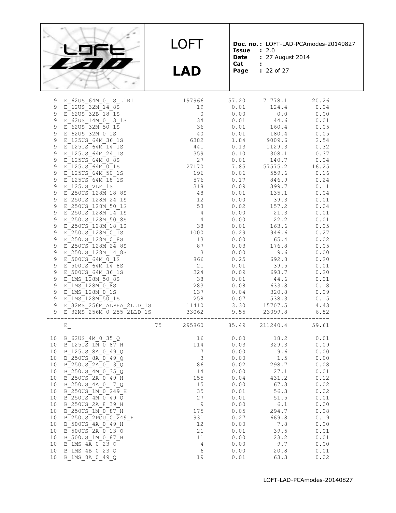

**LAD**

**Doc. no. :** LOFT-LAD-PCAmodes-20140827 **Issue :** 2.0

- **Date :** 27 August 2014
- **Cat :**
	-

**Page :** 22 of 27

| 9               | E 62US 64M 0 1S L1R1                                                                                                                                                                                                    | 197966                                                           |              | 57.20 71778.1                                                                                                   | 20.26          |
|-----------------|-------------------------------------------------------------------------------------------------------------------------------------------------------------------------------------------------------------------------|------------------------------------------------------------------|--------------|-----------------------------------------------------------------------------------------------------------------|----------------|
| 9               | E 62US 32M 14 8S                                                                                                                                                                                                        | 19                                                               |              | $0.01$ $124.4$                                                                                                  | 0.04           |
| 9               | E 62US 32B 18 1S                                                                                                                                                                                                        | $\begin{array}{c} 0 \\ 34 \\ 36 \end{array}$                     |              | $0.00$ 0.0                                                                                                      | 0.00           |
| $\mathsf 9$     | E 62US 14M 0 13 1S                                                                                                                                                                                                      |                                                                  |              | $0.01$ $44.6$<br>$0.01$ $160.4$                                                                                 | 0.01           |
| $\mathsf 9$     | E 62US 32M 50 1S                                                                                                                                                                                                        |                                                                  |              |                                                                                                                 | 0.05           |
| $\mathsf 9$     | $E$ 62US 32M 0 1S                                                                                                                                                                                                       | 40                                                               |              | $0.01$ 180.4                                                                                                    | 0.05           |
| $\overline{9}$  | E 125US 64M 36 1S                                                                                                                                                                                                       | 6382                                                             |              |                                                                                                                 | 2.54           |
| $\mathsf{S}$    | E 125US 64M 14 1S                                                                                                                                                                                                       | 441                                                              |              | $1.84$ 9009.6<br>0.13 1129.3                                                                                    | 0.32           |
| $\mathsf 9$     | E 125US 64M 24 1S                                                                                                                                                                                                       | 359                                                              |              | $0.10$ $1308.1$                                                                                                 | 0.37           |
| $\mathsf 9$     | $E$ <sup>-125US 64M 0 8S</sup>                                                                                                                                                                                          |                                                                  |              |                                                                                                                 |                |
| $\mathsf 9$     | E 125US 64M 0 1S                                                                                                                                                                                                        | $\begin{array}{c} 27 \\ 27170 \end{array}$                       |              | $\begin{array}{cccc} 0.01 & \quad & 140.7 & \quad & 0.04 \\ 7.85 & \quad & 57575.2 & \quad & 16.25 \end{array}$ |                |
| $\mathsf 9$     | E 125US 64M 50 1S                                                                                                                                                                                                       | 196                                                              | 0.06         |                                                                                                                 | $559.6$ 0.16   |
| $\mathfrak g$   | E 125US 64M 18 1S                                                                                                                                                                                                       | 576                                                              |              | $0.17$ $846.9$ $0.24$                                                                                           |                |
| $\mathsf 9$     | E 125US VLE 1S                                                                                                                                                                                                          |                                                                  |              |                                                                                                                 | 0.11           |
| $\mathsf 9$     | E 250US 128M 18 8S                                                                                                                                                                                                      | $\begin{array}{c} 318 \\ 48 \end{array}$                         | 0.01         | 399.7<br>135.1                                                                                                  | 0.04           |
| $\mathsf 9$     | E 250US 128M 24 1S                                                                                                                                                                                                      | 12                                                               |              | $0.00$ 39.3                                                                                                     | 0.01           |
| $\overline{9}$  | E 250US 128M 50 1S                                                                                                                                                                                                      | $\begin{array}{r} 12 \\ 53 \\ 4 \\ 38 \\ 1000 \\ 13 \end{array}$ |              |                                                                                                                 | 0.04           |
| 9               | E 250US 128M 14 1S                                                                                                                                                                                                      |                                                                  |              | $0.02$ $157.2$<br>$0.00$ $21.3$                                                                                 | 0.01           |
| $\mathsf 9$     | E 250US 128M 50 8S                                                                                                                                                                                                      |                                                                  |              | $0.00$ 22.2                                                                                                     | 0.01           |
| $\mathsf 9$     | E 250US 128M 18 1S                                                                                                                                                                                                      |                                                                  |              | $0.01$ 163.6                                                                                                    | 0.05           |
| $\mathsf 9$     | E 250US 128M 0 1S                                                                                                                                                                                                       |                                                                  |              |                                                                                                                 | 0.27           |
| 9               | E 250US 128M 0 8S                                                                                                                                                                                                       | 13                                                               |              | $0.29$ $946.6$<br>$0.00$ $65.4$                                                                                 | 0.02           |
| $\overline{9}$  | E 250US 128M 24 8S                                                                                                                                                                                                      | 87                                                               |              | $0.03$ 176.8                                                                                                    | 0.05           |
| $\mathsf 9$     | E 250US 128M 14 8S                                                                                                                                                                                                      |                                                                  |              |                                                                                                                 | 0.00           |
| $\mathsf 9$     | E 500US 64M 0 1S                                                                                                                                                                                                        | $\begin{array}{c} 3 \\ 866 \end{array}$                          |              | $0.00$ 9.6<br>0.25 692.8                                                                                        | 0.20           |
| $\mathsf{S}$    | E 500US 64M 14 8S                                                                                                                                                                                                       | 21                                                               |              | $0.01$ 39.5                                                                                                     | 0.01           |
| $\overline{9}$  | E 500US 64M 36 1S                                                                                                                                                                                                       |                                                                  |              |                                                                                                                 | 0.20           |
| $\mathsf 9$     | $E$ 1MS 128M 50 8S                                                                                                                                                                                                      | $\frac{324}{25}$<br>38                                           | 0.09         | 693.7                                                                                                           |                |
|                 |                                                                                                                                                                                                                         |                                                                  | 0.01         | 44.6                                                                                                            | 0.01           |
|                 |                                                                                                                                                                                                                         |                                                                  |              |                                                                                                                 |                |
| $\mathfrak g$   | E 1MS 128M 0 8S                                                                                                                                                                                                         | 283                                                              |              | $0.08$ 633.8                                                                                                    | 0.18           |
|                 |                                                                                                                                                                                                                         |                                                                  |              | $0.04$ $320.8$                                                                                                  | 0.09           |
|                 |                                                                                                                                                                                                                         |                                                                  |              |                                                                                                                 | 0.15           |
|                 | 9 E <sup>1</sup> MS <sup>-128M<sup>-0</sup>1S 137<br/> 9 E<sup>1</sup>MS<sup>-128M</sup>-<sup>50</sup><sub>-</sub>1S 15 258 258<br/> 9 E<sup>32MS</sup>-256M<sub>-</sub>ALPHA<sub>-</sub>2LLD<sub>-</sub>1S 11410</sup> |                                                                  |              | $0.07$ 538.3<br>3.30 15707.5                                                                                    | 4.43           |
| $\overline{9}$  | $E_32MS_2^256M_0^20_255_2^2LLD_1^21S$ 33062 9.55 23099.8                                                                                                                                                                |                                                                  |              |                                                                                                                 | 6.52           |
|                 |                                                                                                                                                                                                                         |                                                                  |              |                                                                                                                 |                |
|                 | $E_{-}$                                                                                                                                                                                                                 | 75                                                               | 295860 85.49 |                                                                                                                 | 211240.4 59.61 |
|                 | 10 B 62US 4M 0 35 Q                                                                                                                                                                                                     |                                                                  | 0.00         |                                                                                                                 |                |
|                 | 10 B 125US 1M 0 87 H                                                                                                                                                                                                    | $\begin{array}{c} 16 \\ 114 \end{array}$                         | 0.03         | $18.2$<br>329.3                                                                                                 | 0.01<br>0.09   |
|                 | 10 B 125US 8A 0 49 Q                                                                                                                                                                                                    | $\overline{7}$                                                   | 0.00         | 9.6                                                                                                             | 0.00           |
| 10              | B 250US 8A 0 49 Q                                                                                                                                                                                                       |                                                                  | 0.00         |                                                                                                                 | 0.00           |
| 10 <sub>1</sub> | B 250US 2A 0 13 Q                                                                                                                                                                                                       |                                                                  | 0.02         | 1.5<br>298.7                                                                                                    | 0.08           |
| 10 <sub>1</sub> | B 250US 4M 0 35 Q                                                                                                                                                                                                       |                                                                  | 0.00         |                                                                                                                 | 0.01           |
| 10 <sub>1</sub> | B 250US 2A 0 49 H                                                                                                                                                                                                       | $\begin{array}{c} 3 \\ 86 \\ 14 \end{array}$                     |              | 27.1<br>431.2<br>0.04                                                                                           | 0.12           |
| 10              | $B^-$ 250US 4A $0^-$ 17 $Q$                                                                                                                                                                                             | 155<br>15                                                        | 0.00         | 67.3                                                                                                            | 0.02           |
| 10              | B 250US 1M 0 249 H                                                                                                                                                                                                      | 35                                                               | 0.01         | 56.3                                                                                                            | 0.02           |
| 10              |                                                                                                                                                                                                                         | 27                                                               | 0.01         | 51.5                                                                                                            | 0.01           |
| 10              | B 250US 4M 0 49 Q                                                                                                                                                                                                       | 9                                                                | 0.00         | 6.1                                                                                                             |                |
| 10              | B 250US 2A 8 39 H                                                                                                                                                                                                       | 175                                                              | 0.05         |                                                                                                                 | 0.00           |
| 10              | B 250US 1M 0 87 H<br>B 250US 2PCU 0 249 H                                                                                                                                                                               | 931                                                              | 0.27         | 294.7<br>669.8                                                                                                  | 0.08<br>0.19   |
| 10              |                                                                                                                                                                                                                         | 12                                                               | 0.00         |                                                                                                                 | 0.00           |
| 10              | B 500US 4A 0 49 H                                                                                                                                                                                                       |                                                                  | 0.01         | 7.8                                                                                                             |                |
|                 | B 500US 2A 0 13 Q                                                                                                                                                                                                       | 21                                                               |              | 39.5                                                                                                            | 0.01           |
| 10              | B 500US 1M 0 87 H                                                                                                                                                                                                       | $1\,1$<br>4                                                      | 0.00<br>0.00 | 23.2                                                                                                            | 0.01           |
| 10              | $B$ 1MS $4A$ $0$ 23 $Q$                                                                                                                                                                                                 |                                                                  |              | 9.7                                                                                                             | 0.00           |
| 10<br>$10$      | B 1MS 4B 0 23 Q<br>B 1MS 8A 0 49 Q                                                                                                                                                                                      | $\epsilon$<br>19                                                 | 0.00<br>0.01 | 20.8<br>63.3                                                                                                    | 0.01<br>0.02   |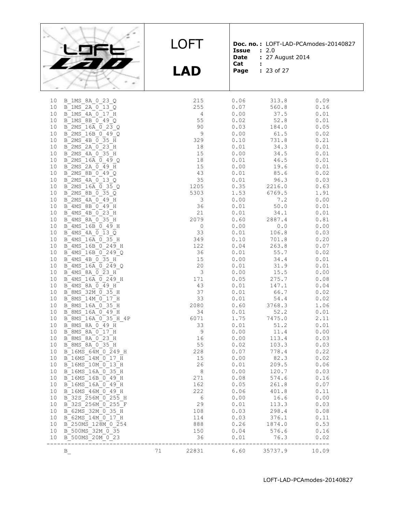

**LAD**

**Doc. no. :** LOFT-LAD-PCAmodes-20140827 **Issue :** 2.0

**Date :** 27 August 2014

- **Cat :**
- **Page :** 23 of 27

| 10       | B 1MS 8A 0 23 Q                                                                 |          | 215                     | 0.06         | 313.8                          | 0.09         |
|----------|---------------------------------------------------------------------------------|----------|-------------------------|--------------|--------------------------------|--------------|
| 10       | B 1MS 2A 0 13 Q                                                                 |          | 255                     | 0.07         | 560.8                          | 0.16         |
| 10       | B 1MS 4A 0 17 H                                                                 |          | 4                       | 0.00         | 37.5                           | 0.01         |
| 10       | B 1MS 8B 0 49 Q                                                                 |          | 55                      | 0.02         | 52.8                           | 0.01         |
| 10       | B 2MS 16A 0 23 Q                                                                |          | 90                      | 0.03         | 184.0                          | 0.05         |
| 10       | B 2MS 16B 0 49 Q                                                                |          | 9                       | 0.00         | 61.5                           | 0.02         |
| 10       | B_2MS_4B_0_35_H                                                                 |          | 329                     | 0.10         | 731.8                          | 0.21         |
| 10       | B 2MS 2A 0 23 H                                                                 |          | 18                      | 0.01         | 34.3                           | 0.01         |
| 10       | B 2MS 4A 0 35 H                                                                 |          | 15                      | 0.00         | 34.5                           | 0.01         |
| 10       | B $2MS^-16\overline{A}$ 0 49 Q                                                  |          | 18                      | 0.01         | 46.5                           | 0.01         |
| 10       | $B$ <sup>2</sup> MS <sup>2</sup> A $\overline{0}$ 49 H                          |          | 15                      | 0.00         | 19.6                           | 0.01         |
| 10       | B 2MS 8B 0 49 Q                                                                 |          | 43                      | 0.01         | 85.6                           | 0.02         |
| 10       | B 2MS 4A 0 13 Q                                                                 |          | 35                      | 0.01         | 96.3                           | 0.03         |
| 10       | B 2MS 16A 0 35 Q                                                                |          | 1205                    |              | $0.35$ $2216.0$<br>1.53 6769.5 | 0.63         |
| 10       | B 2MS 8B 0 35 Q                                                                 |          | 5303                    |              |                                | 1.91         |
| 10       | B 2MS 4A 0 49 H                                                                 |          | 3                       | 0.00         | 7.2                            | 0.00         |
| 10       | B 4MS 8B 0 49 H                                                                 |          | 36<br>21                | 0.01         | 50.0                           | 0.01         |
| 10       | B 4MS 4B 0 23 H                                                                 |          | 2079                    | 0.01<br>0.60 | 34.1                           | 0.01         |
| 10<br>10 | B 4MS 8A 0 35 H<br>B 4MS 16B 0 49 H                                             |          | $\circ$                 | 0.00         | 2887.4                         | 0.81<br>0.00 |
|          | B 4MS 4A 0 13 Q                                                                 |          |                         |              | 0.0                            |              |
| 10<br>10 | $B$ 4MS 16A $\overline{0}$ 35 H                                                 |          | 33<br>349               | 0.01<br>0.10 | 106.8<br>701.8                 | 0.03<br>0.20 |
| 10       | B 4MS 16B 0 249 H                                                               |          | 122                     | 0.04         | 263.8                          | 0.07         |
| 10       | B 4MS 16B 0 249 Q                                                               |          | 36                      |              | 55.7                           | 0.02         |
| 10       | B 4MS 4B 0 35 H                                                                 |          | 15                      | 0.01<br>0.00 | 34.4                           | 0.01         |
| 10       | $B$ 4MS 16A 0 249 Q                                                             |          | 20                      | 0.01         | 31.9                           | 0.01         |
| 10       | $B$ <sup>4</sup> MS <sup>-8A</sup> $\overline{0}$ <sup>23</sup> H <sup>-</sup>  |          | $\overline{\mathbf{3}}$ | 0.00         | 15.5                           | 0.00         |
| 10       | $B$ 4MS 16A 0 249 H                                                             |          | 171                     | 0.05         | 275.7                          | 0.08         |
| 10       | $B$ <sup>4</sup> MS <sup>6</sup> 8A $\overline{0}$ <sup>49</sup> H <sup>-</sup> |          | 43                      | 0.01         | 147.1                          | 0.04         |
| 10       | B 8MS 32M 0 35 H                                                                |          | 37                      | 0.01         | 66.7                           | 0.02         |
| 10       | B 8MS 14M 0 17 H                                                                |          | 33                      | 0.01         | 54.4                           | 0.02         |
| 10       | B 8MS 16A 0 35 H                                                                |          | 2080                    | 0.60         | 3768.3                         | 1.06         |
| 10       | B 8MS 16A 0 49 H                                                                |          | 34                      | 0.01         | 52.2                           | 0.01         |
| 10       | B 8MS 16A 0 35 H 4P                                                             |          | 6071                    | 1.75         | 7475.0                         | 2.11         |
| 10       | $B$ $8MS$ $8A$ $0$ 49 H                                                         |          | 33                      | 0.01         | 51.2                           | 0.01         |
| 10       | B 8MS 8A 0 17 H                                                                 |          | $\mathsf 9$             | 0.00         | 11.4                           | 0.00         |
| 10       | B 8MS 8A 0 23 H                                                                 |          | 16                      | 0.00         | 113.4                          | 0.03         |
| 10       | B 8MS 8A 0 35 H                                                                 |          | 55                      | 0.02         | 103.3                          | 0.03         |
| 10       | B 16MS 64M 0 249 H                                                              |          | 228                     | 0.07         | 778.4                          | 0.22         |
| 10       | B 16MS 14M 0 17 H                                                               |          | 15                      | 0.00         | 82.3                           | 0.02         |
| 10       | B 16MS 10M 0 13 H                                                               |          | 26                      | 0.01         | 209.5                          | 0.06         |
| 10       | B 16MS 16A 0 35 H                                                               |          | 8                       | 0.00         | 120.7                          | 0.03         |
| 10       | B 16MS 16B 0 49 H                                                               |          | 271                     | 0.08         | 574.6                          | 0.16         |
| 10       | B 16MS 16A 0 49 H                                                               |          | 162                     | 0.05         | 261.8                          | 0.07         |
| 10       | B 16MS 46M 0 49 H                                                               |          | 222                     | 0.06         | 401.8                          | 0.11         |
| 10       | B 32S 256M 0 255 H                                                              |          | 6                       | 0.00         | 16.6                           | 0.00         |
| 10       | B 32S 256M 0 255 F                                                              |          | 29                      | 0.01         | 113.3                          | 0.03         |
| 10       | B 62MS 32M 0 35 H                                                               |          | 108                     | 0.03         | 298.4                          | 0.08         |
| 10       | B 62MS 14M 0 17 H                                                               |          | 114                     | 0.03         | 376.1                          | 0.11         |
| 10       | B 250MS 128M 0 254                                                              |          | 888                     | 0.26         | 1874.0                         | 0.53         |
| 10       | B 500MS 32M 0 35                                                                |          | 150                     | 0.04         | 576.6                          | 0.16         |
| 10       | B 500MS 20M 0 23                                                                |          | 36                      | 0.01         | 76.3                           | 0.02         |
|          |                                                                                 | 71 — 200 | 22831                   | 6.60         | 35737.9                        | 10.09        |
|          | $B_{\perp}$                                                                     |          |                         |              |                                |              |
|          |                                                                                 |          |                         |              |                                |              |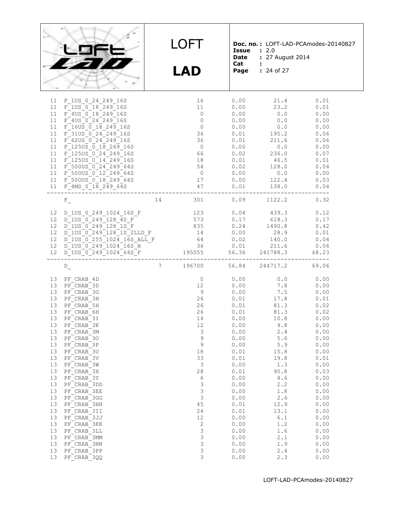|                                                                                                                                                                    |                                                                                                                                                                                                                                                                                                                                                                                                                                     |                 | LOFT<br><b>LAD</b>                                                                                                                                                                                                              | <b>Issue</b><br><b>Date</b><br>Cat:                                                                                                                                                                                                   | : 2.0<br>: 27 August 2014<br>Page : 24 of 27                                                                                                                                                                                 | Doc. no.: LOFT-LAD-PCAmodes-20140827                                                                                                                                                                                                  |
|--------------------------------------------------------------------------------------------------------------------------------------------------------------------|-------------------------------------------------------------------------------------------------------------------------------------------------------------------------------------------------------------------------------------------------------------------------------------------------------------------------------------------------------------------------------------------------------------------------------------|-----------------|---------------------------------------------------------------------------------------------------------------------------------------------------------------------------------------------------------------------------------|---------------------------------------------------------------------------------------------------------------------------------------------------------------------------------------------------------------------------------------|------------------------------------------------------------------------------------------------------------------------------------------------------------------------------------------------------------------------------|---------------------------------------------------------------------------------------------------------------------------------------------------------------------------------------------------------------------------------------|
| 11<br>11<br>11<br>11<br>11<br>11<br>11<br>11<br>11<br>11<br>11                                                                                                     | F 1US 0 24 249 16S<br>F 1US 0 18 249 16S<br>F 4US 0 18 249 16S<br>$F$ 4US $0$ 24 249 16S<br>$F_16US_0$ $\overline{0}$ $18$ $249$ $16S$<br>$F$ 31US 0 24 249 16S<br>F 62US 0 24 249 16S<br>11 F 125US 0 18 249 16S<br>$F_1250S_02424916S$<br>$F$ 1250S $0$ 14 249 16S<br>11 F 500US 0 24 249 64S<br>F_500US_0_12_249_64S<br>11 F 500US 0 18 249 64S<br>$F_4MS_0$ $18$ $249$ $64s$                                                    |                 | 16<br>11<br>$\overline{0}$<br>$\overline{0}$<br>$\overline{0}$<br>36<br>36<br>$\overline{0}$<br>66<br>18<br>54<br>$\overline{0}$<br>17<br>47                                                                                    | 0.00<br>0.00<br>0.00<br>0.00<br>0.00<br>0.01<br>0.01<br>0.00<br>0.02<br>0.01<br>0.02<br>0.00<br>0.00<br>0.01                                                                                                                          | 21.4<br>23.2<br>0.0<br>0.0<br>0.0<br>195.2<br>211.6<br>0.0<br>236.0<br>46.5<br>128.0<br>0.0<br>122.4<br>138.0                                                                                                                | 0.01<br>0.01<br>0.00<br>0.00<br>0.00<br>0.06<br>0.06<br>0.00<br>0.07<br>0.01<br>0.04<br>0.00<br>0.03<br>0.04                                                                                                                          |
| 12 <sup>°</sup><br>12                                                                                                                                              | $\mathbf{F}_{\perp}$<br>12 D 1US 0 249 1024 16S F<br>D_1US_0_249_128_4S_F<br>D_1US_0_249_128_1S_F<br>12 D_1US_0_249_128_1S_2LLD_F<br>12 D_1US_0_255_1024_16S_ALL_F<br>12 D_1US_0_255_1024_16S_ALL_F<br>12 D_1US_0_249_1024_16S_H<br>12 D_1US_0_249_1024_64S_F<br>12 D_1US_0_249_1024_64S_F<br>12 D_1US_0_249_1024_64S_F<br>195055                                                                                                   |                 | 14 301<br>123<br>573<br>835<br>195055                                                                                                                                                                                           | 0.17<br>0.24<br>$0.02$ 140.0<br>0.01                                                                                                                                                                                                  | $0.09$ $1122.2$<br>$0.04$ $439.3$<br>618.3<br>1490.8<br>$0.00$ 28.9<br>211.6<br>56.36 241788.3                                                                                                                               | 0.32<br>0.12<br>0.17<br>0.42<br>0.01<br>0.04<br>0.06<br>68.23                                                                                                                                                                         |
| 13<br>13<br>13<br>13<br>13<br>13<br>13<br>13<br>$13$<br>13<br>13<br>13<br>13<br>13<br>13<br>13<br>13<br>13<br>$13$<br>13<br>13<br>13<br>13<br>13<br>13<br>13<br>13 | $D_{\_}$<br>13 PF CRAB 4D<br>PF CRAB 3D<br>PF CRAB 3G<br>PF CRAB 3H<br>PF CRAB 5H<br>PF CRAB 6H<br>PF CRAB 3I<br>PF CRAB 3K<br>PF CRAB 3M<br>PF CRAB 30<br>PF CRAB 3P<br>PF CRAB 3U<br>PF CRAB 3V<br>PF CRAB 3W<br>PF CRAB 3X<br>PF CRAB 3Y<br>PF CRAB 3DD<br>PF CRAB 3EE<br>PF CRAB 3GG<br>PF CRAB 3HH<br>PF CRAB 3II<br>PF CRAB 3JJ<br>PF CRAB 3KK<br>PF CRAB 3LL<br>PF CRAB 3MM<br>PF CRAB 3NN<br>PF CRAB 3PP<br>$PF$ $CRAB_3QQ$ | $7\overline{)}$ | 196700<br>$\overline{0}$<br>12 <sup>°</sup><br>9<br>26<br>26<br>26<br>14<br>12<br>3<br>9<br>9<br>$18\,$<br>33<br>3<br>$2\,8$<br>6<br>3<br>3<br>$\mathsf 3$<br>45<br>24<br>12<br>$\mathbf{2}$<br>3<br>$\mathsf 3$<br>3<br>3<br>3 | 56.84<br>0.00<br>0.00<br>0.00<br>0.01<br>0.01<br>0.01<br>0.00<br>0.00<br>0.00<br>0.00<br>0.00<br>0.01<br>0.01<br>0.00<br>0.01<br>0.00<br>0.00<br>0.00<br>0.00<br>0.01<br>0.01<br>0.00<br>0.00<br>0.00<br>0.00<br>0.00<br>0.00<br>0.00 | 244717.2<br>0.0<br>7.8<br>7.5<br>17.8<br>81.3<br>81.3<br>10.8<br>9.8<br>2.4<br>5.6<br>5.9<br>15.8<br>19.8<br>1.3<br>90.8<br>4.6<br>2.2<br>1.8<br>$2\cdot 6$<br>12.9<br>13.1<br>6.1<br>1.2<br>1.6<br>2.1<br>1.9<br>2.4<br>2.3 | 69.06<br>0.00<br>0.00<br>0.00<br>0.01<br>0.02<br>0.02<br>0.00<br>0.00<br>0.00<br>0.00<br>0.00<br>0.00<br>0.01<br>0.00<br>0.03<br>0.00<br>0.00<br>0.00<br>0.00<br>0.00<br>0.00<br>0.00<br>0.00<br>0.00<br>0.00<br>0.00<br>0.00<br>0.00 |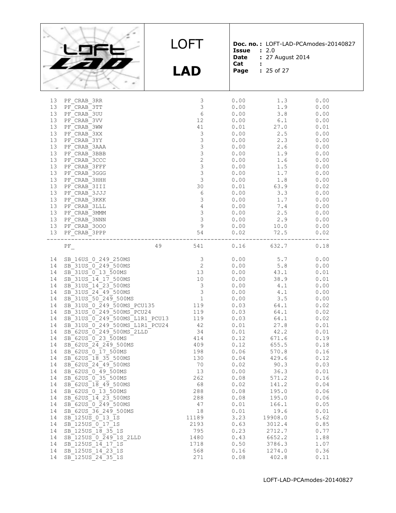|  | 59FE |  |
|--|------|--|
|  | 27 T |  |
|  |      |  |

**LAD**

**Doc. no. :** LOFT-LAD-PCAmodes-20140827 **Issue :** 2.0

- **Date :** 27 August 2014 **Cat :**
	-

**Page :** 25 of 27

| 13              | PF CRAB 3RR                                                                |    | 3                                     | 0.00 | 1.3     | 0.00 |
|-----------------|----------------------------------------------------------------------------|----|---------------------------------------|------|---------|------|
| 13 <sup>°</sup> | PF CRAB 3TT                                                                |    | $\mathcal{S}$                         | 0.00 | 1.9     | 0.00 |
| 13              | PF CRAB 3UU                                                                |    | 6                                     | 0.00 | 3.8     | 0.00 |
| 13              | PF CRAB 3VV                                                                |    | 12                                    | 0.00 | 6.1     | 0.00 |
| 13              |                                                                            |    | 41                                    | 0.01 | 27.0    | 0.01 |
|                 | PF CRAB 3WW                                                                |    |                                       |      |         |      |
| 13              | PF CRAB 3XX                                                                |    | $\mathfrak{Z}$                        | 0.00 | 2.5     | 0.00 |
| 13              | PF CRAB 3YY                                                                |    | 3                                     | 0.00 | 2.3     | 0.00 |
| 13              | PF CRAB 3AAA                                                               |    | $\mathfrak{Z}$                        | 0.00 | 2.6     | 0.00 |
| 13              | PF CRAB 3BBB                                                               |    | $\mathfrak{Z}$                        | 0.00 | 1.9     | 0.00 |
| 13              | PF CRAB 3CCC                                                               |    | $\mathbf{2}$                          | 0.00 | 1.6     | 0.00 |
| 13              | PF CRAB 3FFF                                                               |    | $\mathfrak{Z}$                        | 0.00 | 1.5     | 0.00 |
| 13              | PF CRAB 3GGG                                                               |    | $\mathfrak{Z}$                        | 0.00 | 1.7     | 0.00 |
| 13              | PF CRAB 3HHH                                                               |    | $\mathcal{S}$                         | 0.00 | 1.8     | 0.00 |
| 13              | PF CRAB 3III                                                               |    | 30                                    | 0.01 | 63.9    | 0.02 |
| 13              |                                                                            |    | $\sqrt{6}$                            | 0.00 | 3.3     | 0.00 |
|                 | PF CRAB 3JJJ                                                               |    |                                       |      |         |      |
| 13              | PF CRAB 3KKK                                                               |    | $\mathsf 3$                           | 0.00 | 1.7     | 0.00 |
| 13              | PF CRAB 3LLL                                                               |    | $\sqrt{4}$                            | 0.00 | 7.4     | 0.00 |
| 13              | PF CRAB 3MMM                                                               |    | $\mathcal{S}$                         | 0.00 | 2.5     | 0.00 |
| 13              | PF CRAB 3NNN                                                               |    | $\begin{array}{c} 3 \\ 9 \end{array}$ | 0.00 | 2.9     | 0.00 |
| 13              | PF CRAB 3000                                                               |    |                                       | 0.00 | 10.0    | 0.00 |
| 13              | PF_CRAB_3PPP                                                               |    | 54                                    | 0.02 | 72.5    | 0.02 |
|                 |                                                                            |    |                                       |      |         |      |
|                 | $\rm{PF}_{\_}$                                                             | 49 | 541                                   | 0.16 | 632.7   | 0.18 |
|                 |                                                                            |    |                                       |      |         |      |
| 14              | SB 16US 0 249 250MS                                                        |    | 3                                     | 0.00 | 5.7     | 0.00 |
|                 | SB 31US 0 249 500MS                                                        |    | $\overline{2}$                        |      |         |      |
| 14              |                                                                            |    | 13                                    | 0.00 | 5.8     | 0.00 |
| 14              | SB 31US 0 13 500MS                                                         |    |                                       | 0.00 | 43.1    | 0.01 |
| 14              | SB 31US 14 17 500MS                                                        |    | 10                                    | 0.00 | 38.9    | 0.01 |
| 14              | SB 31US 14 23 500MS                                                        |    | $\begin{array}{c} 3 \\ 3 \end{array}$ | 0.00 | 4.1     | 0.00 |
| 14              | SB 31US 24 49 500MS                                                        |    |                                       | 0.00 | 4.1     | 0.00 |
| 14              | SB 31US 50 249 500MS                                                       |    | $\overline{1}$                        | 0.00 | 3.5     | 0.00 |
| 14              | SB 31US 0 249 500MS PCU135                                                 |    | 119                                   | 0.03 | 64.1    | 0.02 |
| 14              | SB_31US_0_249_500MS_PCU135<br>SB_31US_0_249_500MS_PCU24                    |    | 119                                   | 0.03 | 64.1    | 0.02 |
| 14              | SB 31US 0 249 500MS L1R1 PCU13 119                                         |    |                                       | 0.03 | 64.1    | 0.02 |
| 14              |                                                                            |    |                                       | 0.01 | 27.8    | 0.01 |
| 14              | $SB^31US^-0^-249^-500MS^-L1R1^-PCU24$<br>$SB^62US^-0^-249^-500MS^-2LLD$ 34 |    |                                       |      | 42.2    |      |
|                 |                                                                            |    |                                       | 0.01 |         | 0.01 |
| 14              | SB 62US 0 23 500MS                                                         |    | 414                                   | 0.12 | 671.6   | 0.19 |
| 14              | $SB_62US_24_249_500MS$                                                     |    | 409                                   | 0.12 | 655.5   | 0.18 |
| 14              | SB 62US 0 17 500MS                                                         |    | 198                                   | 0.06 | 570.8   | 0.16 |
| 14              | SB 62US 18 35 500MS                                                        |    | 130                                   | 0.04 | 429.6   | 0.12 |
| 14              | SB 62US 24 49 500MS                                                        |    | 70                                    | 0.02 | 90.3    | 0.03 |
| 14              | SB 62US 0 49 500MS                                                         |    | 13                                    | 0.00 | 36.3    | 0.01 |
|                 | 14 SB 62US 0 35 500MS                                                      |    | 262                                   | 0.08 | 571.2   | 0.16 |
| 14              | SB 62US 18 49 500MS                                                        |    | 68                                    | 0.02 | 141.2   | 0.04 |
| 14              | SB 62US 0 13 500MS                                                         |    | 288                                   | 0.08 | 195.0   | 0.06 |
| 14              | SB 62US 14 23 500MS                                                        |    | 288                                   | 0.08 |         |      |
|                 |                                                                            |    |                                       |      | 195.0   | 0.06 |
| 14              | SB 62US 0 249 500MS                                                        |    | 47                                    | 0.01 | 166.1   | 0.05 |
| 14              | SB 62US 36 249 500MS                                                       |    | 18                                    | 0.01 | 19.6    | 0.01 |
| 14              | SB 125US 0 13 1S                                                           |    | 11189                                 | 3.23 | 19908.0 | 5.62 |
| 14              | SB 125US 0 17 1S                                                           |    | 2193                                  | 0.63 | 3012.4  | 0.85 |
| 14              | SB 125US 18 35 1S                                                          |    | 795                                   | 0.23 | 2712.7  | 0.77 |
| 14              | SB 125US 0 249 1S 2LLD                                                     |    | 1480                                  | 0.43 | 6652.2  | 1.88 |
| 14              | SB 125US 14 17 1S                                                          |    | 1718                                  | 0.50 | 3786.3  | 1.07 |
| 14              | SB 125US 14 23 1S                                                          |    | 568                                   | 0.16 | 1274.0  | 0.36 |
| 14              | SB 125US 24 35 1S                                                          |    | 271                                   | 0.08 | 402.8   | 0.11 |
|                 |                                                                            |    |                                       |      |         |      |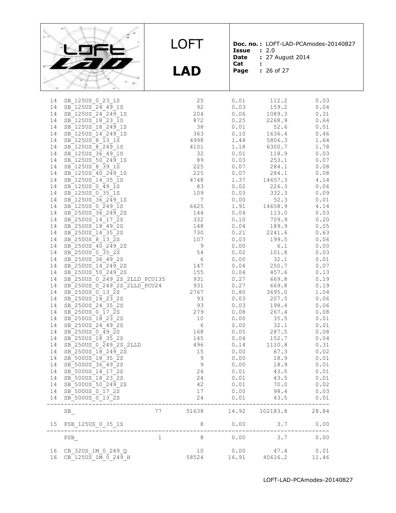

**LAD**

**Doc. no. :** LOFT-LAD-PCAmodes-20140827 **Issue :** 2.0

**Date :** 27 August 2014<br>**Cat :** 

- **Cat :**
	-

**Page :** 26 of 27

| 14       | SB 125US 0 23 1S                                                                          |              | 25                                                                                        | 0.01          | 112.2           | 0.03          |
|----------|-------------------------------------------------------------------------------------------|--------------|-------------------------------------------------------------------------------------------|---------------|-----------------|---------------|
| 14       | SB 125US 24 49 1S                                                                         |              | 92                                                                                        | 0.03          | 159.2           | 0.04          |
| 14       | SB 125US 24 249 1S                                                                        |              | 204                                                                                       | 0.06          | 1089.3          | 0.31          |
| 14       | SB 125US 18 23 1S                                                                         |              | 872                                                                                       | 0.25          | 2268.9          | 0.64          |
| 14       | SB_125US_18_249_1S                                                                        |              | 38                                                                                        | 0.01          | 52.6            | 0.01          |
| 14       | SB 125US 14 249 1S                                                                        |              | 363                                                                                       | 0.10          | 1636.4          | 0.46          |
| 14       | SB 125US 8 13 1S                                                                          |              | 4998                                                                                      | 1.44          | 5806.3          | 1.64          |
| 14       | SB 125US 8 249 1S                                                                         |              | 4101                                                                                      | 1.18          | 6300.7          | 1.78          |
| 14       | SB 125US 36 49 1S                                                                         |              | 32                                                                                        | 0.01          | 118.9           | 0.03          |
| 14       | SB 125US 50 249 1S                                                                        |              | 89                                                                                        | 0.03          | 253.1           | 0.07          |
| 14       | SB 125US 8 39 1S                                                                          |              | 225                                                                                       | 0.07          | 284.1           | 0.08          |
| 14       | SB 125US 40 249 1S                                                                        |              | 225                                                                                       | 0.07          | 284.1           | 0.08          |
| 14       | SB 125US 14 35 1S                                                                         |              | 4748                                                                                      | 1.37          | 14657.3         | 4.14          |
| 14       | $SB$ <sup>125US<sup>0</sup> 49 1s</sup>                                                   |              | 83                                                                                        | 0.02          | 226.3           | 0.06          |
| 14       | SB 125US 0 35 1S                                                                          |              | 109                                                                                       | 0.03          | 332.3           | 0.09          |
| 14       | SB 125US 36 249 1S                                                                        |              | $7\phantom{.0}$                                                                           | 0.00          | 52.3            | 0.01          |
| 14       | SB 125US 0 249 1S                                                                         |              | 6625                                                                                      | 1.91          | 14658.9         | 4.14          |
| 14       | SB 250US 36 249 2S                                                                        |              | 144                                                                                       | 0.04          |                 |               |
|          |                                                                                           |              |                                                                                           |               | 113.0           | 0.03          |
| 14       | SB 250US 14 17 2S                                                                         |              | 332                                                                                       | 0.10          | 709.9           | 0.20          |
| 14       | SB 250US 18 49 2S                                                                         |              | 148                                                                                       | 0.04          | 189.9           | 0.05          |
| 14       | SB 250US 14 35 2S                                                                         |              | 730                                                                                       | 0.21          | 2241.6          | 0.63          |
| 14       | SB 250US 8 13 2S                                                                          |              | 107                                                                                       | 0.03          | 199.5           | 0.06          |
| 14       | SB 250US 40 249 2S                                                                        |              | $\,9$                                                                                     | 0.00          | 6.1             | 0.00          |
| 14       | SB 250US 0 35 2S                                                                          |              | 54                                                                                        | 0.02          | 101.8           | 0.03          |
| 14       | $SB_250US_36_492s$                                                                        |              | $\sqrt{6}$                                                                                | 0.00          | 32.1            | 0.01          |
| 14       | $SB$ <sup>250US</sup> <sup>14<sup>249</sup> 2S</sup>                                      |              | 147                                                                                       | 0.04          | 250.7           | 0.07          |
| 14       | SB 250US 50 249 2S                                                                        |              | 155                                                                                       | 0.04          | 457.6           | 0.13          |
| 14       | SB 250US 0 249 2S 2LLD PCU135                                                             |              | 931                                                                                       | 0.27          | 669.8           | 0.19          |
| 14       | $SB$ <sup>250US</sup> <sup>0</sup> 249 <sup>2</sup> 2S <sup>2</sup> LLD <sup>P</sup> CU24 |              | $\begin{array}{c} \n \begin{array}{c}\n 231 \\  \hline\n 27\n \end{array} \n \end{array}$ | 0.27          | 669.8           | 0.19          |
| 14       | SB 250US 0 13 2S                                                                          |              |                                                                                           | 0.80          | 3695.0          | 1.04          |
| 14       | SB 250US 14 23 2S                                                                         | The Co       | 93                                                                                        | 0.03          | 207.5           | 0.06          |
| 14       | SB 250US 24 35 2S                                                                         |              | 93                                                                                        | 0.03          | 198.4           | 0.06          |
| 14       | $SB^-250US^-0$ $\bar{17}$ $\bar{2}S$                                                      |              | 279                                                                                       | 0.08          | 267.4           | 0.08          |
| 14       | SB 250US 18 23 2S                                                                         |              | 10                                                                                        | 0.00          | 35.5            | 0.01          |
| 14       | SB 250US 24 49 2S                                                                         |              | $\epsilon$                                                                                | 0.00          | 32.1            | 0.01          |
| 14       | SB 250US 0 49 2S                                                                          |              | 168                                                                                       | 0.05          | 287.5           | 0.08          |
| 14       | SB 250US 18 35 2S                                                                         |              | 145                                                                                       | 0.04          | 152.7           | 0.04          |
| 14       | SB 250US 0 249 2S 2LLD                                                                    |              | 496                                                                                       | 0.14          | 1110.8          | 0.31          |
| 14       | SB 250US 18 249 2S                                                                        |              | 15                                                                                        | 0.00          | 67.3            | 0.02          |
| 14       | SB 500US 18 35 2S                                                                         |              | 9                                                                                         | 0.00          | 18.9            | 0.01          |
| 14       | SB 500US 36 49 2S                                                                         |              | $\overline{9}$                                                                            | 0.00          | 18.9            | 0.01          |
| 14       | SB 500US 14 17 2S                                                                         |              | 24                                                                                        | 0.01          | 43.5            | 0.01          |
| 14       | SB 500US 18 23 2S                                                                         |              | 24                                                                                        | 0.01          | 43.5            | 0.01          |
|          |                                                                                           |              |                                                                                           |               |                 |               |
| 14       | SB 500US 50 249 2S                                                                        |              | 42                                                                                        | 0.01          | 70.0            | 0.02          |
| 14       | SB 500US 0 17 2S                                                                          |              | 17                                                                                        | 0.00          | 98.4            | 0.03          |
| 14       | SB 500US 0 13 2S                                                                          |              | 24                                                                                        | 0.01          | 43.5            | 0.01          |
|          | SB                                                                                        | 77 — 20      | 51638                                                                                     | 14.92         | 102183.8        | 28.84         |
| 15       | PSB_125US_0_35_1S                                                                         |              | 8                                                                                         | 0.00          | 3.7             | 0.00          |
|          | PSB                                                                                       | $\mathbf{1}$ | 8                                                                                         | 0.00          | 3.7             | 0.00          |
|          |                                                                                           |              |                                                                                           |               |                 |               |
| 16<br>16 | CB 32US 1M 0 249 Q<br>CB 125US 1M 0 249 H                                                 |              | 10<br>58524                                                                               | 0.00<br>16.91 | 47.4<br>40616.2 | 0.01<br>11.46 |